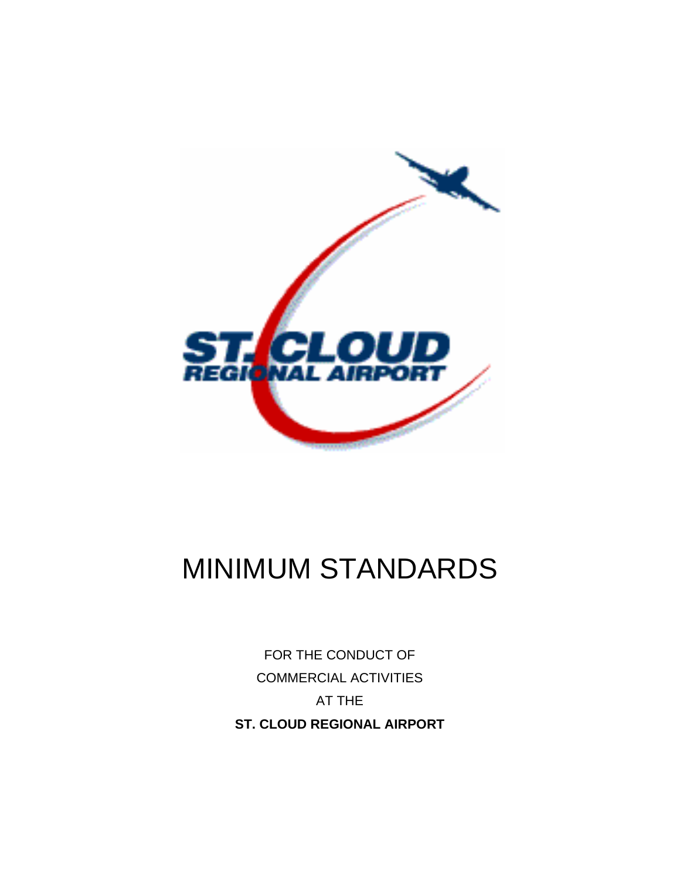

# MINIMUM STANDARDS

FOR THE CONDUCT OF COMMERCIAL ACTIVITIES AT THE **ST. CLOUD REGIONAL AIRPORT**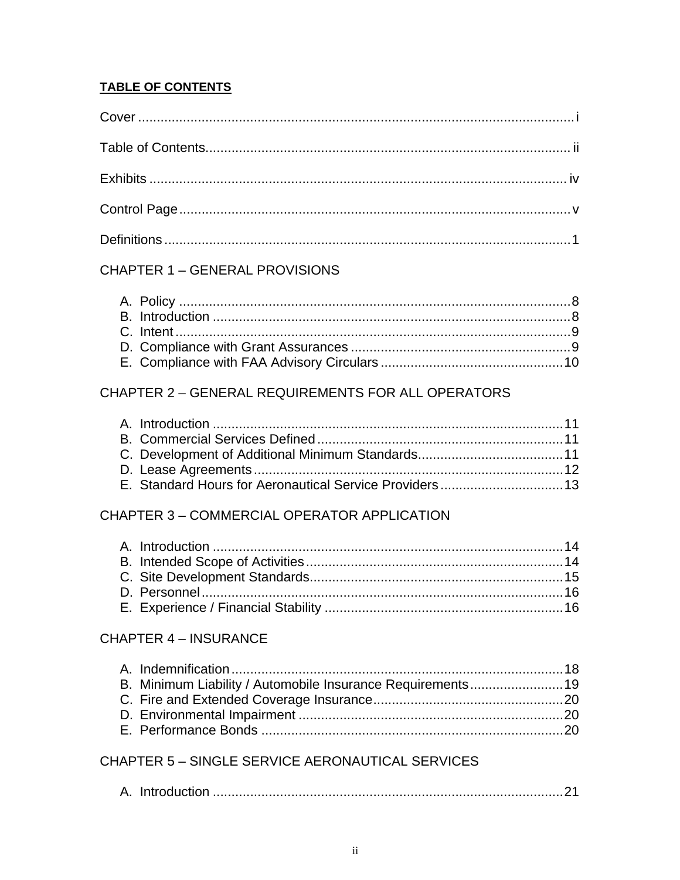## **TABLE OF CONTENTS**

# **CHAPTER 1 - GENERAL PROVISIONS**

# CHAPTER 2 - GENERAL REQUIREMENTS FOR ALL OPERATORS

## CHAPTER 3 - COMMERCIAL OPERATOR APPLICATION

# **CHAPTER 4 - INSURANCE**

# **CHAPTER 5 - SINGLE SERVICE AERONAUTICAL SERVICES**

|--|--|--|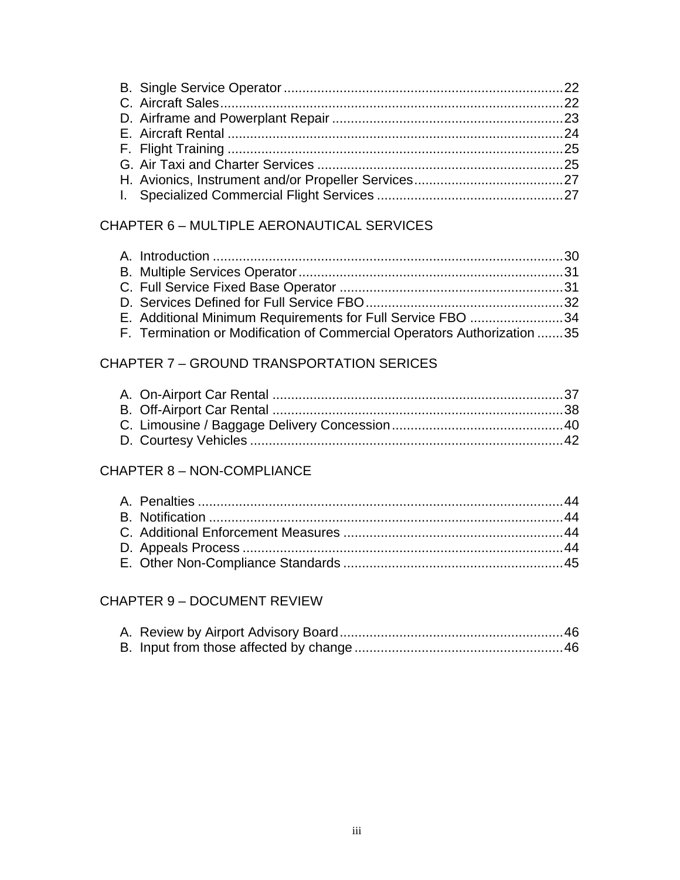# CHAPTER 6 – MULTIPLE AERONAUTICAL SERVICES

| E. Additional Minimum Requirements for Full Service FBO 34              |  |
|-------------------------------------------------------------------------|--|
| F. Termination or Modification of Commercial Operators Authorization 35 |  |

# CHAPTER 7 – GROUND TRANSPORTATION SERICES

## CHAPTER 8 – NON-COMPLIANCE

# CHAPTER 9 – DOCUMENT REVIEW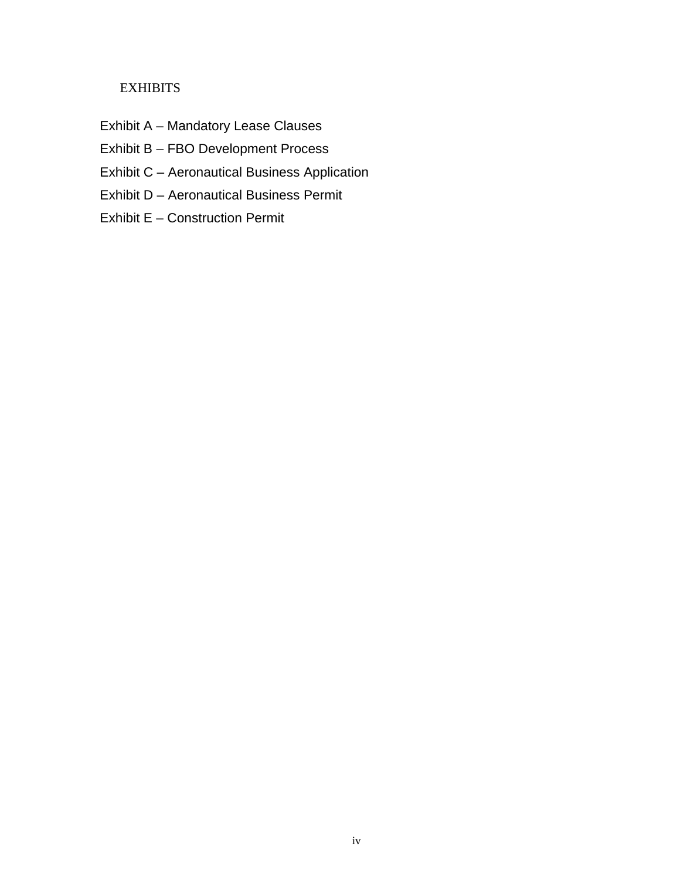## **EXHIBITS**

- Exhibit A Mandatory Lease Clauses
- Exhibit B FBO Development Process
- Exhibit C Aeronautical Business Application
- Exhibit D Aeronautical Business Permit
- Exhibit E Construction Permit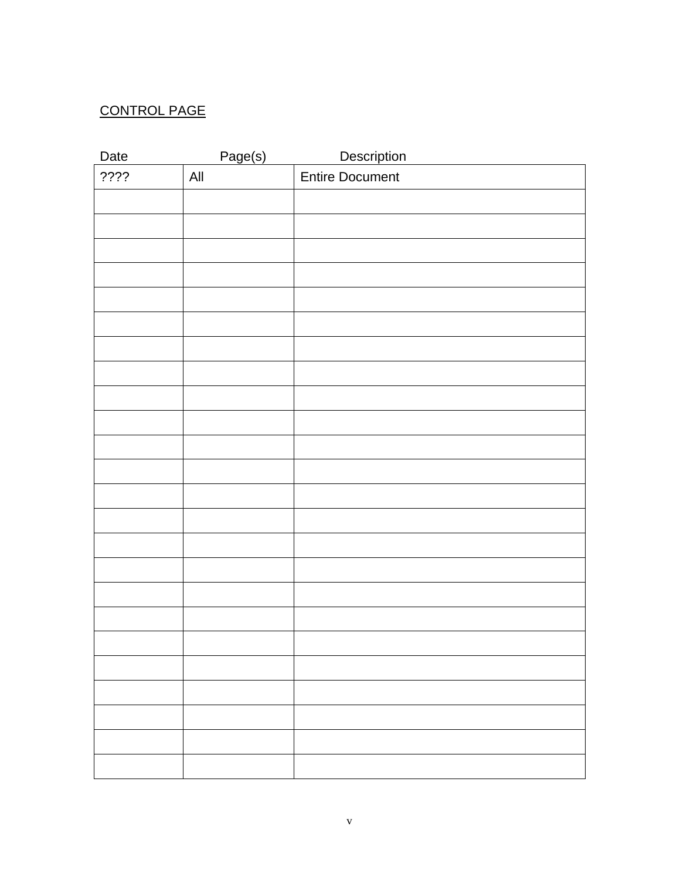# CONTROL PAGE

| Date | Page(s) | <b>Description</b>     |
|------|---------|------------------------|
| ???? | All     | <b>Entire Document</b> |
|      |         |                        |
|      |         |                        |
|      |         |                        |
|      |         |                        |
|      |         |                        |
|      |         |                        |
|      |         |                        |
|      |         |                        |
|      |         |                        |
|      |         |                        |
|      |         |                        |
|      |         |                        |
|      |         |                        |
|      |         |                        |
|      |         |                        |
|      |         |                        |
|      |         |                        |
|      |         |                        |
|      |         |                        |
|      |         |                        |
|      |         |                        |
|      |         |                        |
|      |         |                        |
|      |         |                        |
|      |         |                        |
|      |         |                        |
|      |         |                        |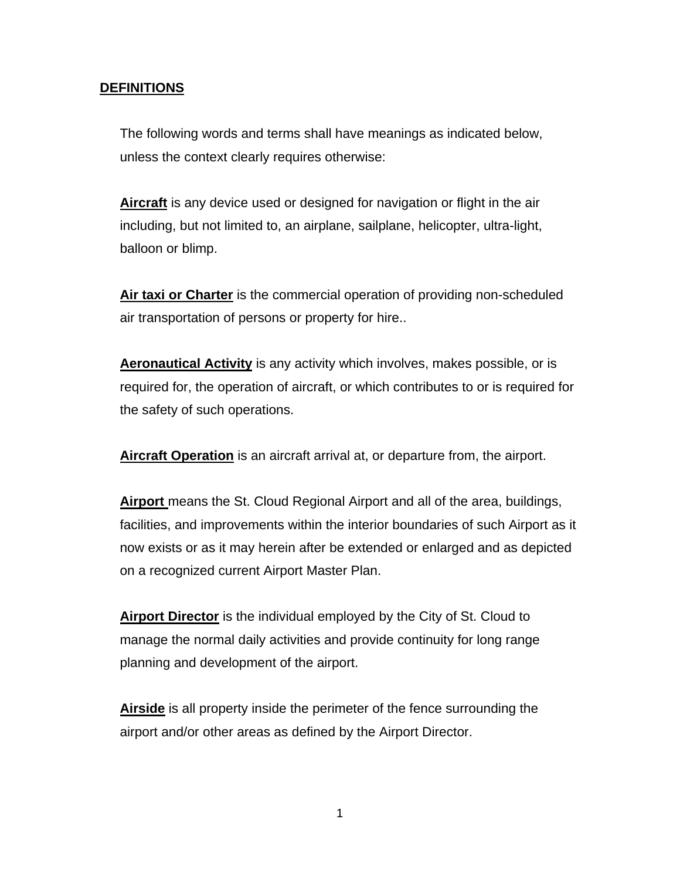#### **DEFINITIONS**

The following words and terms shall have meanings as indicated below, unless the context clearly requires otherwise:

**Aircraft** is any device used or designed for navigation or flight in the air including, but not limited to, an airplane, sailplane, helicopter, ultra-light, balloon or blimp.

**Air taxi or Charter** is the commercial operation of providing non-scheduled air transportation of persons or property for hire..

**Aeronautical Activity** is any activity which involves, makes possible, or is required for, the operation of aircraft, or which contributes to or is required for the safety of such operations.

**Aircraft Operation** is an aircraft arrival at, or departure from, the airport.

**Airport** means the St. Cloud Regional Airport and all of the area, buildings, facilities, and improvements within the interior boundaries of such Airport as it now exists or as it may herein after be extended or enlarged and as depicted on a recognized current Airport Master Plan.

**Airport Director** is the individual employed by the City of St. Cloud to manage the normal daily activities and provide continuity for long range planning and development of the airport.

**Airside** is all property inside the perimeter of the fence surrounding the airport and/or other areas as defined by the Airport Director.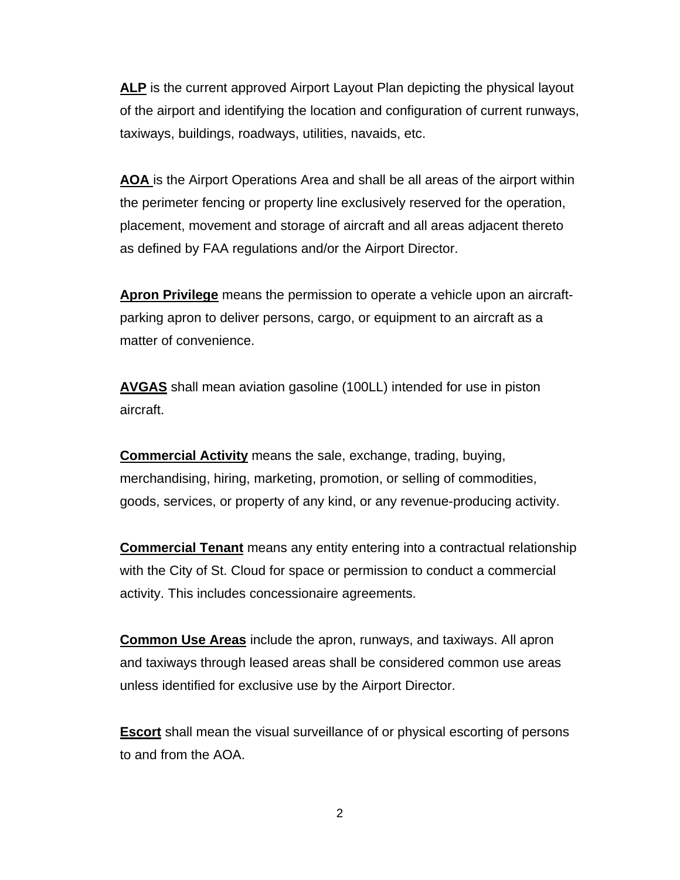**ALP** is the current approved Airport Layout Plan depicting the physical layout of the airport and identifying the location and configuration of current runways, taxiways, buildings, roadways, utilities, navaids, etc.

**AOA** is the Airport Operations Area and shall be all areas of the airport within the perimeter fencing or property line exclusively reserved for the operation, placement, movement and storage of aircraft and all areas adjacent thereto as defined by FAA regulations and/or the Airport Director.

**Apron Privilege** means the permission to operate a vehicle upon an aircraftparking apron to deliver persons, cargo, or equipment to an aircraft as a matter of convenience.

**AVGAS** shall mean aviation gasoline (100LL) intended for use in piston aircraft.

**Commercial Activity** means the sale, exchange, trading, buying, merchandising, hiring, marketing, promotion, or selling of commodities, goods, services, or property of any kind, or any revenue-producing activity.

**Commercial Tenant** means any entity entering into a contractual relationship with the City of St. Cloud for space or permission to conduct a commercial activity. This includes concessionaire agreements.

**Common Use Areas** include the apron, runways, and taxiways. All apron and taxiways through leased areas shall be considered common use areas unless identified for exclusive use by the Airport Director.

**Escort** shall mean the visual surveillance of or physical escorting of persons to and from the AOA.

2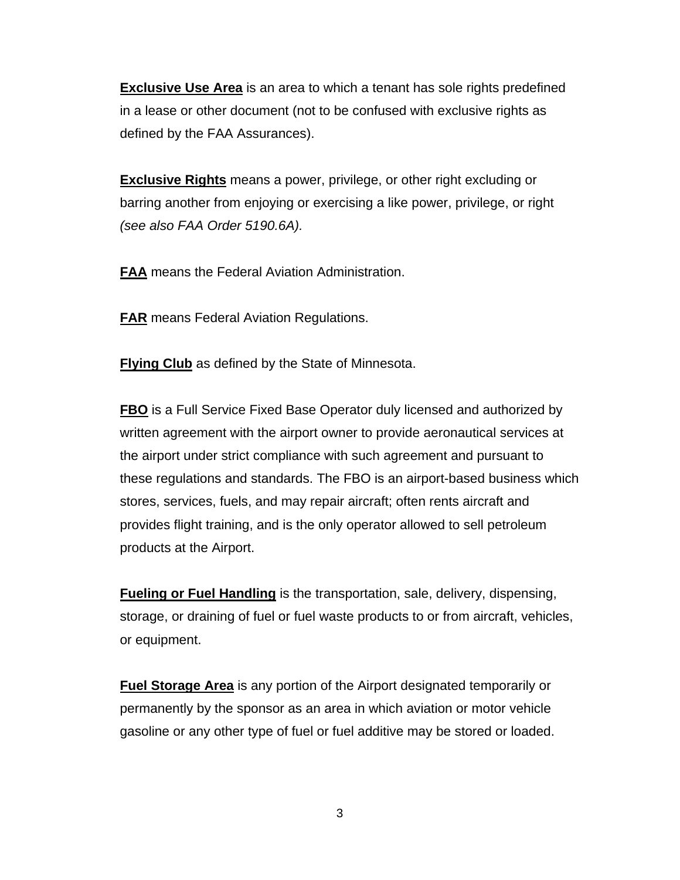**Exclusive Use Area** is an area to which a tenant has sole rights predefined in a lease or other document (not to be confused with exclusive rights as defined by the FAA Assurances).

**Exclusive Rights** means a power, privilege, or other right excluding or barring another from enjoying or exercising a like power, privilege, or right *(see also FAA Order 5190.6A).* 

**FAA** means the Federal Aviation Administration.

**FAR** means Federal Aviation Regulations.

**Flying Club** as defined by the State of Minnesota.

**FBO** is a Full Service Fixed Base Operator duly licensed and authorized by written agreement with the airport owner to provide aeronautical services at the airport under strict compliance with such agreement and pursuant to these regulations and standards. The FBO is an airport-based business which stores, services, fuels, and may repair aircraft; often rents aircraft and provides flight training, and is the only operator allowed to sell petroleum products at the Airport.

**Fueling or Fuel Handling** is the transportation, sale, delivery, dispensing, storage, or draining of fuel or fuel waste products to or from aircraft, vehicles, or equipment.

**Fuel Storage Area** is any portion of the Airport designated temporarily or permanently by the sponsor as an area in which aviation or motor vehicle gasoline or any other type of fuel or fuel additive may be stored or loaded.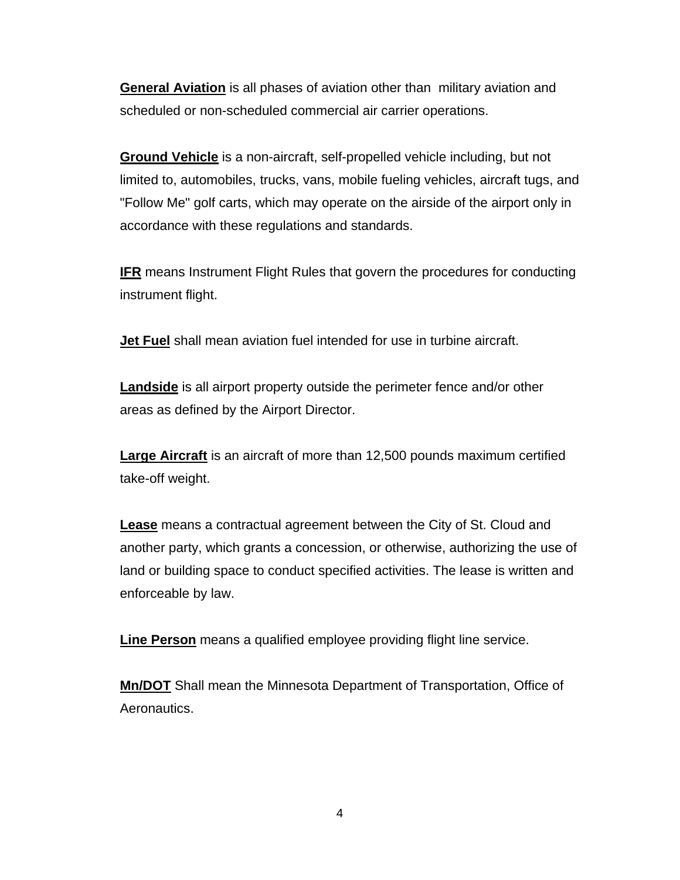**General Aviation** is all phases of aviation other than military aviation and scheduled or non-scheduled commercial air carrier operations.

**Ground Vehicle** is a non-aircraft, self-propelled vehicle including, but not limited to, automobiles, trucks, vans, mobile fueling vehicles, aircraft tugs, and "Follow Me" golf carts, which may operate on the airside of the airport only in accordance with these regulations and standards.

**IFR** means Instrument Flight Rules that govern the procedures for conducting instrument flight.

**Jet Fuel** shall mean aviation fuel intended for use in turbine aircraft.

**Landside** is all airport property outside the perimeter fence and/or other areas as defined by the Airport Director.

**Large Aircraft** is an aircraft of more than 12,500 pounds maximum certified take-off weight.

**Lease** means a contractual agreement between the City of St. Cloud and another party, which grants a concession, or otherwise, authorizing the use of land or building space to conduct specified activities. The lease is written and enforceable by law.

**Line Person** means a qualified employee providing flight line service.

**Mn/DOT** Shall mean the Minnesota Department of Transportation, Office of Aeronautics.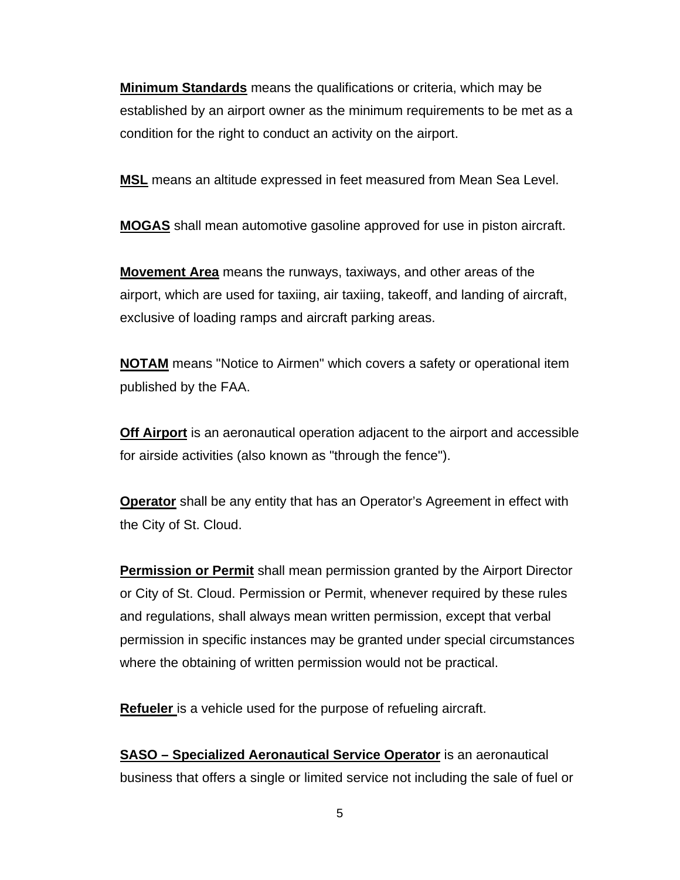**Minimum Standards** means the qualifications or criteria, which may be established by an airport owner as the minimum requirements to be met as a condition for the right to conduct an activity on the airport.

**MSL** means an altitude expressed in feet measured from Mean Sea Level.

**MOGAS** shall mean automotive gasoline approved for use in piston aircraft.

**Movement Area** means the runways, taxiways, and other areas of the airport, which are used for taxiing, air taxiing, takeoff, and landing of aircraft, exclusive of loading ramps and aircraft parking areas.

**NOTAM** means "Notice to Airmen" which covers a safety or operational item published by the FAA.

**Off Airport** is an aeronautical operation adjacent to the airport and accessible for airside activities (also known as "through the fence").

**Operator** shall be any entity that has an Operator's Agreement in effect with the City of St. Cloud.

**Permission or Permit** shall mean permission granted by the Airport Director or City of St. Cloud. Permission or Permit, whenever required by these rules and regulations, shall always mean written permission, except that verbal permission in specific instances may be granted under special circumstances where the obtaining of written permission would not be practical.

**Refueler** is a vehicle used for the purpose of refueling aircraft.

**SASO – Specialized Aeronautical Service Operator** is an aeronautical business that offers a single or limited service not including the sale of fuel or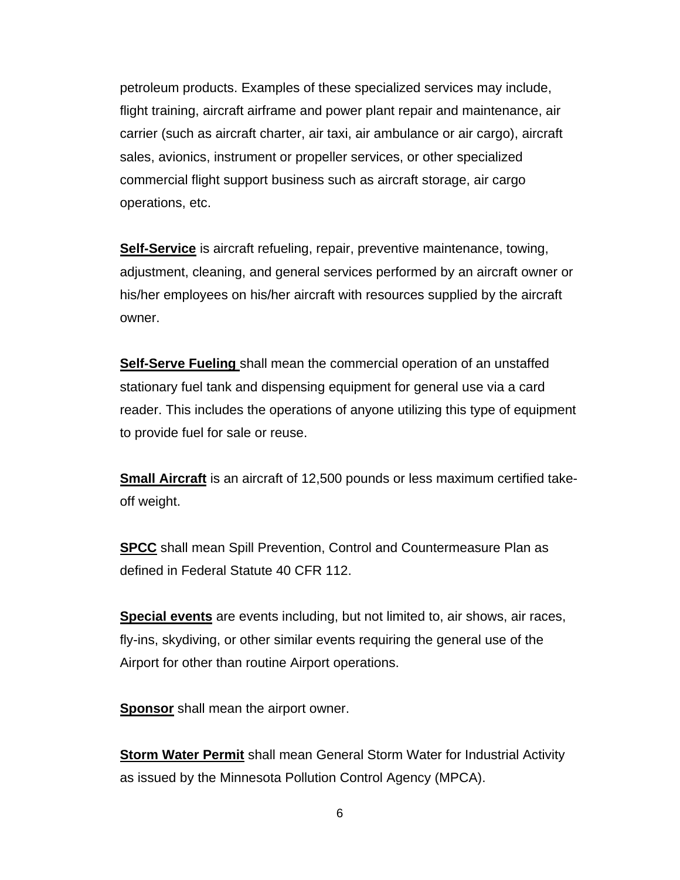petroleum products. Examples of these specialized services may include, flight training, aircraft airframe and power plant repair and maintenance, air carrier (such as aircraft charter, air taxi, air ambulance or air cargo), aircraft sales, avionics, instrument or propeller services, or other specialized commercial flight support business such as aircraft storage, air cargo operations, etc.

**Self-Service** is aircraft refueling, repair, preventive maintenance, towing, adjustment, cleaning, and general services performed by an aircraft owner or his/her employees on his/her aircraft with resources supplied by the aircraft owner.

**Self-Serve Fueling** shall mean the commercial operation of an unstaffed stationary fuel tank and dispensing equipment for general use via a card reader. This includes the operations of anyone utilizing this type of equipment to provide fuel for sale or reuse.

**Small Aircraft** is an aircraft of 12,500 pounds or less maximum certified takeoff weight.

**SPCC** shall mean Spill Prevention, Control and Countermeasure Plan as defined in Federal Statute 40 CFR 112.

**Special events** are events including, but not limited to, air shows, air races, fly-ins, skydiving, or other similar events requiring the general use of the Airport for other than routine Airport operations.

**Sponsor** shall mean the airport owner.

**Storm Water Permit** shall mean General Storm Water for Industrial Activity as issued by the Minnesota Pollution Control Agency (MPCA).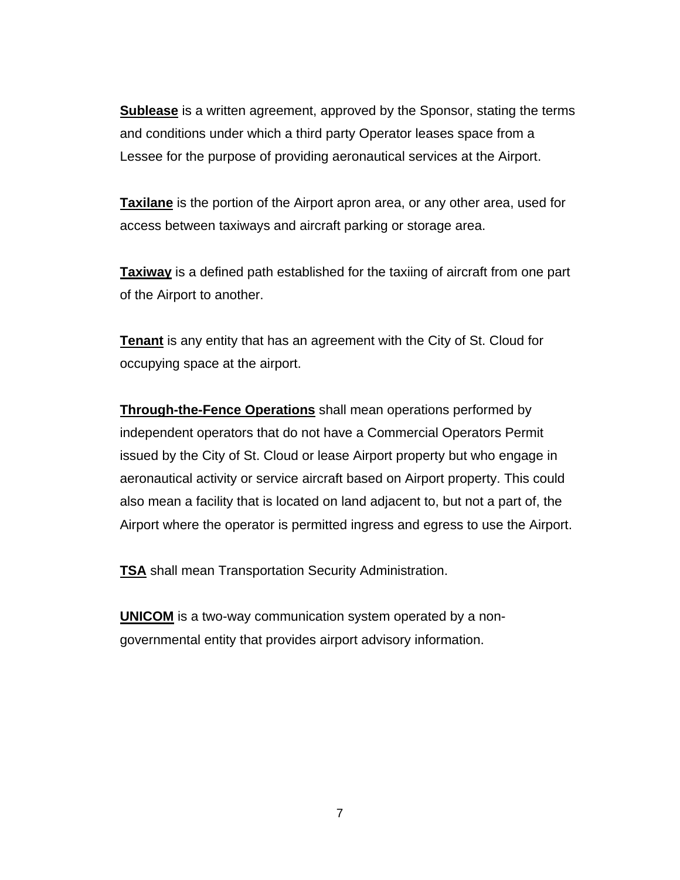**Sublease** is a written agreement, approved by the Sponsor, stating the terms and conditions under which a third party Operator leases space from a Lessee for the purpose of providing aeronautical services at the Airport.

**Taxilane** is the portion of the Airport apron area, or any other area, used for access between taxiways and aircraft parking or storage area.

**Taxiway** is a defined path established for the taxiing of aircraft from one part of the Airport to another.

**Tenant** is any entity that has an agreement with the City of St. Cloud for occupying space at the airport.

**Through-the-Fence Operations** shall mean operations performed by independent operators that do not have a Commercial Operators Permit issued by the City of St. Cloud or lease Airport property but who engage in aeronautical activity or service aircraft based on Airport property. This could also mean a facility that is located on land adjacent to, but not a part of, the Airport where the operator is permitted ingress and egress to use the Airport.

**TSA** shall mean Transportation Security Administration.

**UNICOM** is a two-way communication system operated by a nongovernmental entity that provides airport advisory information.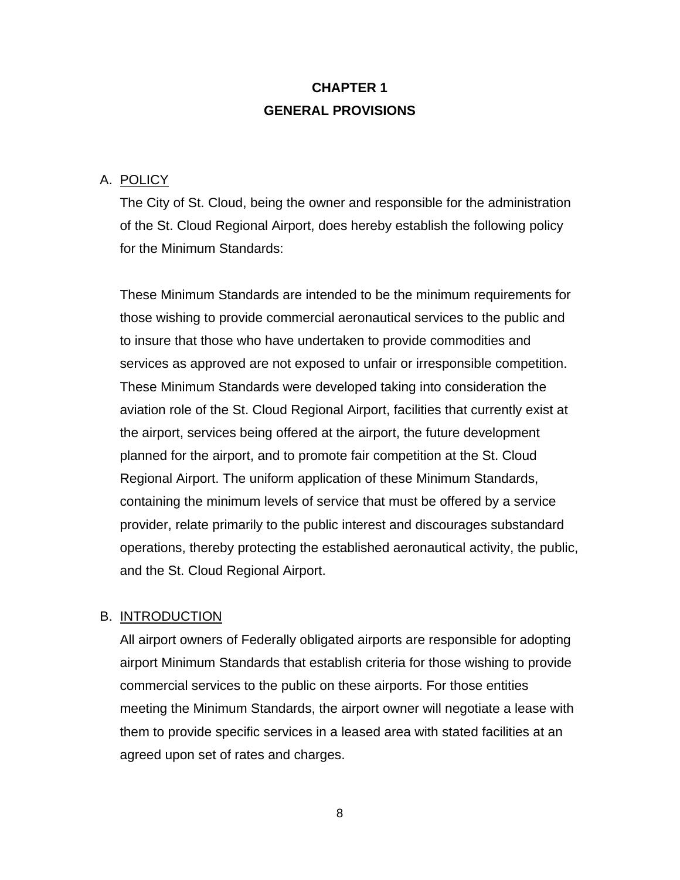# **CHAPTER 1 GENERAL PROVISIONS**

#### A. POLICY

The City of St. Cloud, being the owner and responsible for the administration of the St. Cloud Regional Airport, does hereby establish the following policy for the Minimum Standards:

These Minimum Standards are intended to be the minimum requirements for those wishing to provide commercial aeronautical services to the public and to insure that those who have undertaken to provide commodities and services as approved are not exposed to unfair or irresponsible competition. These Minimum Standards were developed taking into consideration the aviation role of the St. Cloud Regional Airport, facilities that currently exist at the airport, services being offered at the airport, the future development planned for the airport, and to promote fair competition at the St. Cloud Regional Airport. The uniform application of these Minimum Standards, containing the minimum levels of service that must be offered by a service provider, relate primarily to the public interest and discourages substandard operations, thereby protecting the established aeronautical activity, the public, and the St. Cloud Regional Airport.

#### B. INTRODUCTION

All airport owners of Federally obligated airports are responsible for adopting airport Minimum Standards that establish criteria for those wishing to provide commercial services to the public on these airports. For those entities meeting the Minimum Standards, the airport owner will negotiate a lease with them to provide specific services in a leased area with stated facilities at an agreed upon set of rates and charges.

8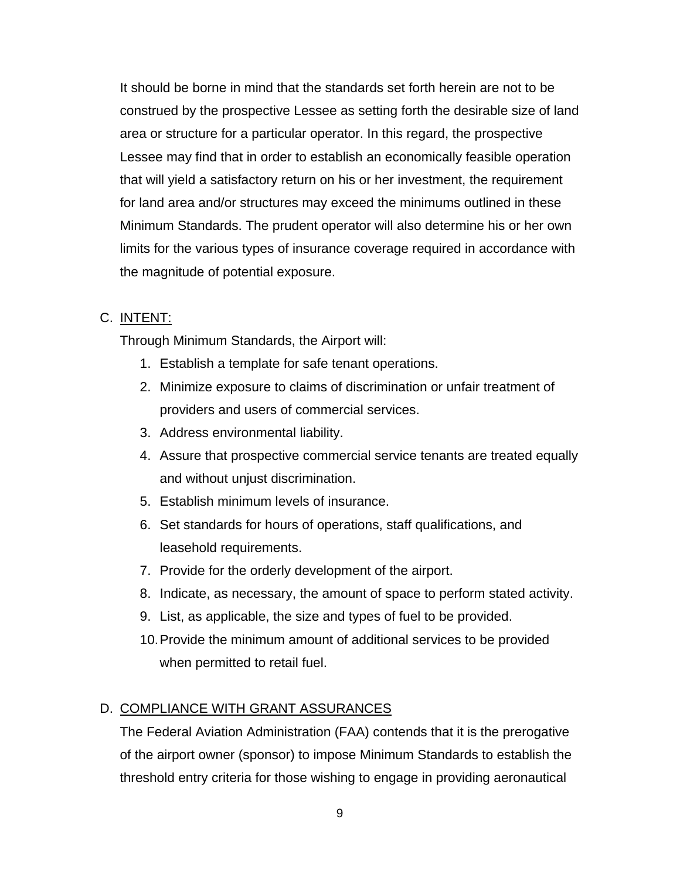It should be borne in mind that the standards set forth herein are not to be construed by the prospective Lessee as setting forth the desirable size of land area or structure for a particular operator. In this regard, the prospective Lessee may find that in order to establish an economically feasible operation that will yield a satisfactory return on his or her investment, the requirement for land area and/or structures may exceed the minimums outlined in these Minimum Standards. The prudent operator will also determine his or her own limits for the various types of insurance coverage required in accordance with the magnitude of potential exposure.

## C. INTENT:

Through Minimum Standards, the Airport will:

- 1. Establish a template for safe tenant operations.
- 2. Minimize exposure to claims of discrimination or unfair treatment of providers and users of commercial services.
- 3. Address environmental liability.
- 4. Assure that prospective commercial service tenants are treated equally and without unjust discrimination.
- 5. Establish minimum levels of insurance.
- 6. Set standards for hours of operations, staff qualifications, and leasehold requirements.
- 7. Provide for the orderly development of the airport.
- 8. Indicate, as necessary, the amount of space to perform stated activity.
- 9. List, as applicable, the size and types of fuel to be provided.
- 10. Provide the minimum amount of additional services to be provided when permitted to retail fuel.

# D. COMPLIANCE WITH GRANT ASSURANCES

The Federal Aviation Administration (FAA) contends that it is the prerogative of the airport owner (sponsor) to impose Minimum Standards to establish the threshold entry criteria for those wishing to engage in providing aeronautical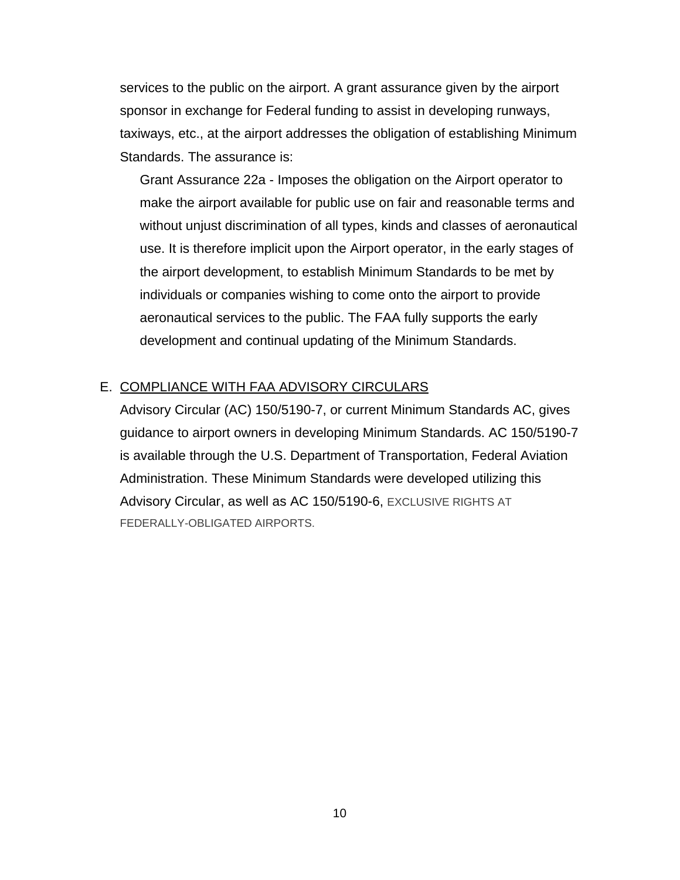services to the public on the airport. A grant assurance given by the airport sponsor in exchange for Federal funding to assist in developing runways, taxiways, etc., at the airport addresses the obligation of establishing Minimum Standards. The assurance is:

Grant Assurance 22a - Imposes the obligation on the Airport operator to make the airport available for public use on fair and reasonable terms and without unjust discrimination of all types, kinds and classes of aeronautical use. It is therefore implicit upon the Airport operator, in the early stages of the airport development, to establish Minimum Standards to be met by individuals or companies wishing to come onto the airport to provide aeronautical services to the public. The FAA fully supports the early development and continual updating of the Minimum Standards.

#### E. COMPLIANCE WITH FAA ADVISORY CIRCULARS

Advisory Circular (AC) 150/5190-7, or current Minimum Standards AC, gives guidance to airport owners in developing Minimum Standards. AC 150/5190-7 is available through the U.S. Department of Transportation, Federal Aviation Administration. These Minimum Standards were developed utilizing this Advisory Circular, as well as AC 150/5190-6, EXCLUSIVE RIGHTS AT FEDERALLY-OBLIGATED AIRPORTS.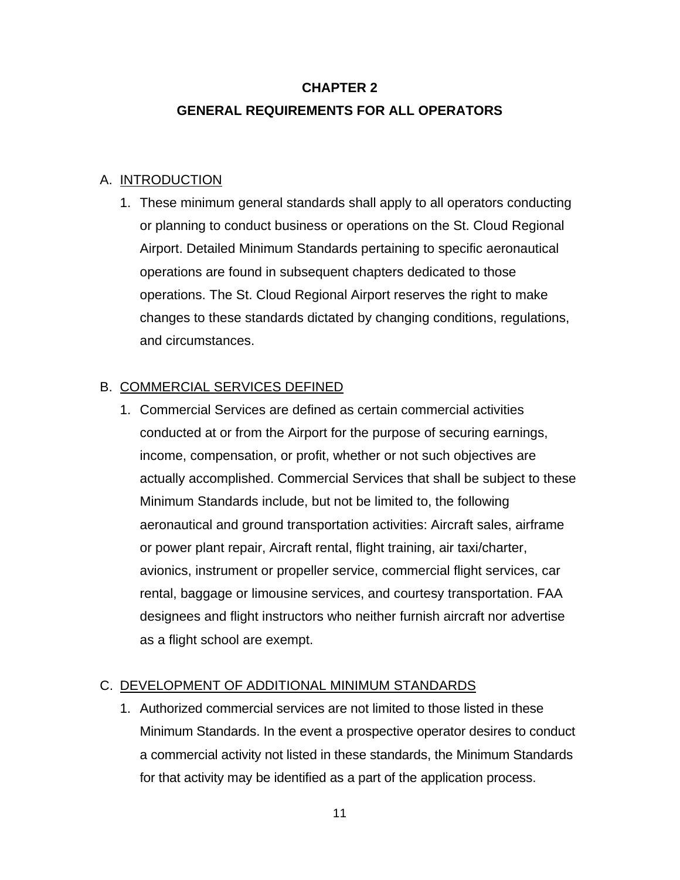# **CHAPTER 2 GENERAL REQUIREMENTS FOR ALL OPERATORS**

#### A. INTRODUCTION

1. These minimum general standards shall apply to all operators conducting or planning to conduct business or operations on the St. Cloud Regional Airport. Detailed Minimum Standards pertaining to specific aeronautical operations are found in subsequent chapters dedicated to those operations. The St. Cloud Regional Airport reserves the right to make changes to these standards dictated by changing conditions, regulations, and circumstances.

## B. COMMERCIAL SERVICES DEFINED

1. Commercial Services are defined as certain commercial activities conducted at or from the Airport for the purpose of securing earnings, income, compensation, or profit, whether or not such objectives are actually accomplished. Commercial Services that shall be subject to these Minimum Standards include, but not be limited to, the following aeronautical and ground transportation activities: Aircraft sales, airframe or power plant repair, Aircraft rental, flight training, air taxi/charter, avionics, instrument or propeller service, commercial flight services, car rental, baggage or limousine services, and courtesy transportation. FAA designees and flight instructors who neither furnish aircraft nor advertise as a flight school are exempt.

## C. DEVELOPMENT OF ADDITIONAL MINIMUM STANDARDS

1. Authorized commercial services are not limited to those listed in these Minimum Standards. In the event a prospective operator desires to conduct a commercial activity not listed in these standards, the Minimum Standards for that activity may be identified as a part of the application process.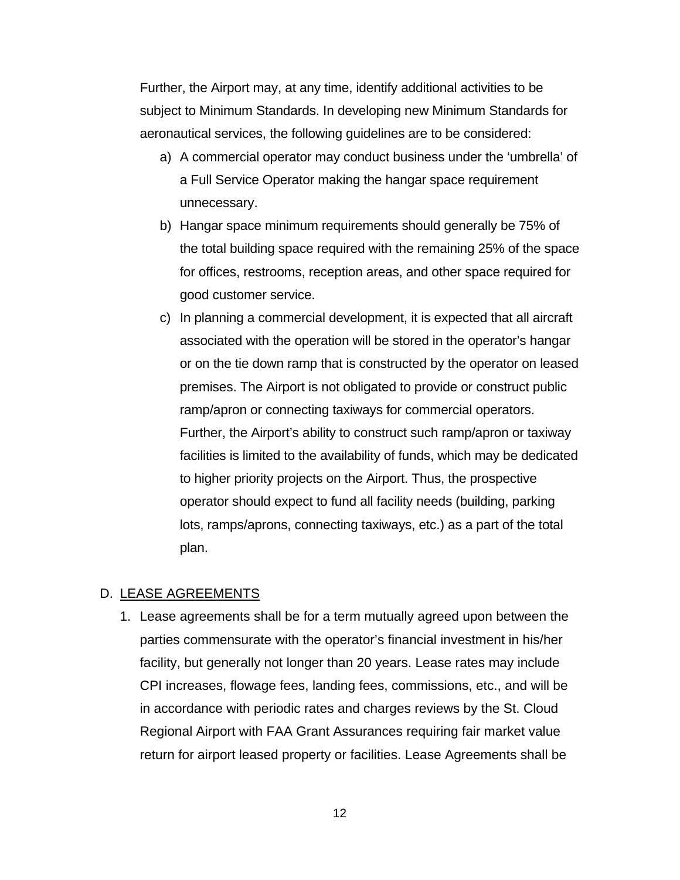Further, the Airport may, at any time, identify additional activities to be subject to Minimum Standards. In developing new Minimum Standards for aeronautical services, the following guidelines are to be considered:

- a) A commercial operator may conduct business under the 'umbrella' of a Full Service Operator making the hangar space requirement unnecessary.
- b) Hangar space minimum requirements should generally be 75% of the total building space required with the remaining 25% of the space for offices, restrooms, reception areas, and other space required for good customer service.
- c) In planning a commercial development, it is expected that all aircraft associated with the operation will be stored in the operator's hangar or on the tie down ramp that is constructed by the operator on leased premises. The Airport is not obligated to provide or construct public ramp/apron or connecting taxiways for commercial operators. Further, the Airport's ability to construct such ramp/apron or taxiway facilities is limited to the availability of funds, which may be dedicated to higher priority projects on the Airport. Thus, the prospective operator should expect to fund all facility needs (building, parking lots, ramps/aprons, connecting taxiways, etc.) as a part of the total plan.

#### D. LEASE AGREEMENTS

1. Lease agreements shall be for a term mutually agreed upon between the parties commensurate with the operator's financial investment in his/her facility, but generally not longer than 20 years. Lease rates may include CPI increases, flowage fees, landing fees, commissions, etc., and will be in accordance with periodic rates and charges reviews by the St. Cloud Regional Airport with FAA Grant Assurances requiring fair market value return for airport leased property or facilities. Lease Agreements shall be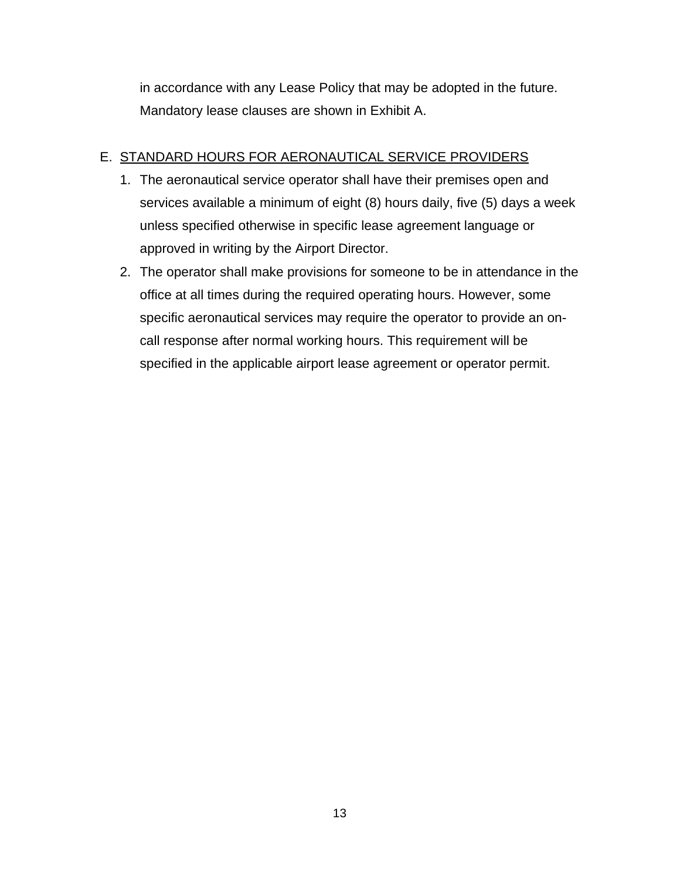in accordance with any Lease Policy that may be adopted in the future. Mandatory lease clauses are shown in Exhibit A.

## E. STANDARD HOURS FOR AERONAUTICAL SERVICE PROVIDERS

- 1. The aeronautical service operator shall have their premises open and services available a minimum of eight (8) hours daily, five (5) days a week unless specified otherwise in specific lease agreement language or approved in writing by the Airport Director.
- 2. The operator shall make provisions for someone to be in attendance in the office at all times during the required operating hours. However, some specific aeronautical services may require the operator to provide an oncall response after normal working hours. This requirement will be specified in the applicable airport lease agreement or operator permit.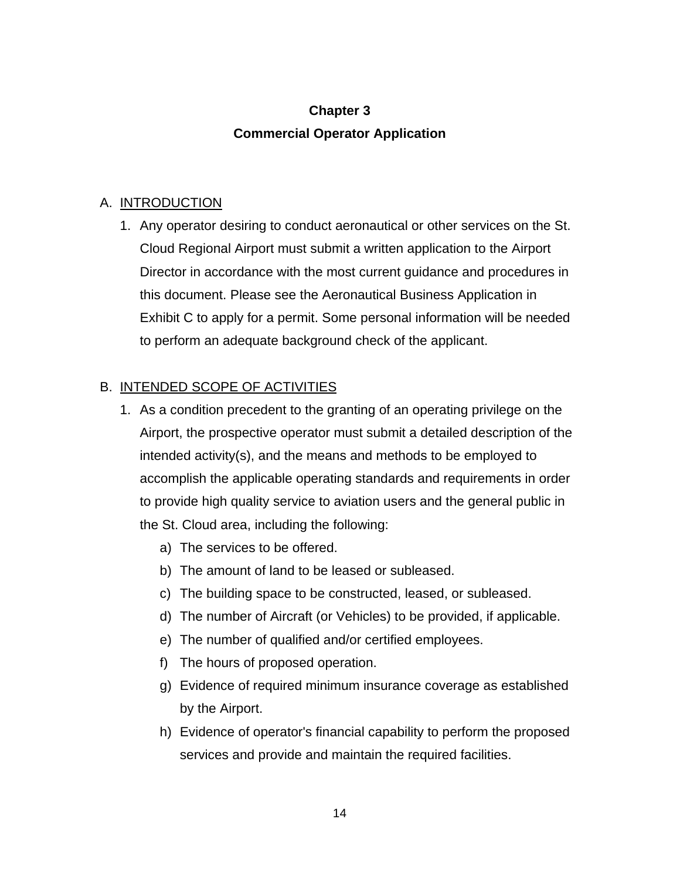# **Chapter 3 Commercial Operator Application**

#### A. INTRODUCTION

1. Any operator desiring to conduct aeronautical or other services on the St. Cloud Regional Airport must submit a written application to the Airport Director in accordance with the most current guidance and procedures in this document. Please see the Aeronautical Business Application in Exhibit C to apply for a permit. Some personal information will be needed to perform an adequate background check of the applicant.

## B. INTENDED SCOPE OF ACTIVITIES

- 1. As a condition precedent to the granting of an operating privilege on the Airport, the prospective operator must submit a detailed description of the intended activity(s), and the means and methods to be employed to accomplish the applicable operating standards and requirements in order to provide high quality service to aviation users and the general public in the St. Cloud area, including the following:
	- a) The services to be offered.
	- b) The amount of land to be leased or subleased.
	- c) The building space to be constructed, leased, or subleased.
	- d) The number of Aircraft (or Vehicles) to be provided, if applicable.
	- e) The number of qualified and/or certified employees.
	- f) The hours of proposed operation.
	- g) Evidence of required minimum insurance coverage as established by the Airport.
	- h) Evidence of operator's financial capability to perform the proposed services and provide and maintain the required facilities.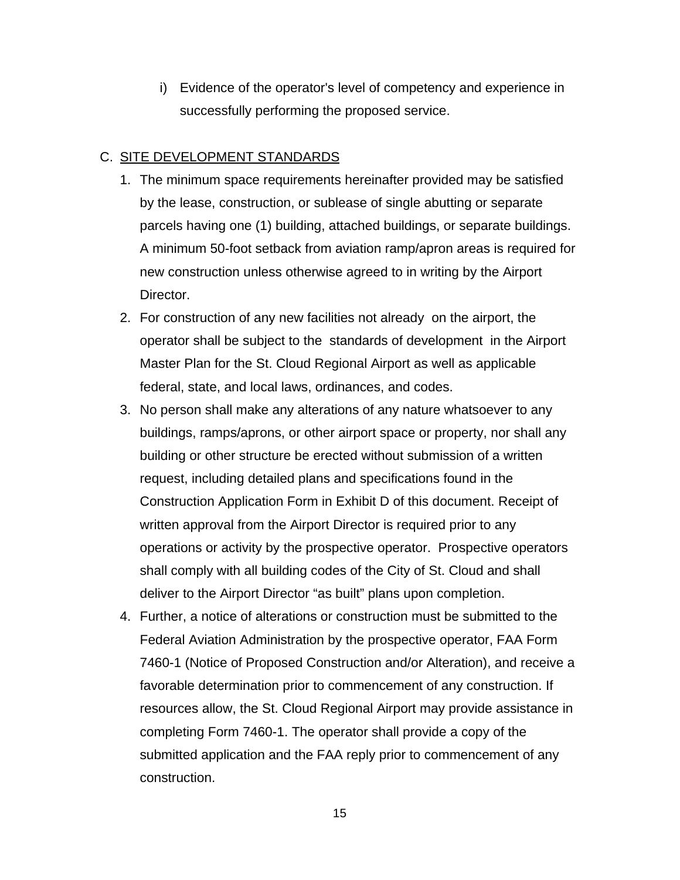i) Evidence of the operator's level of competency and experience in successfully performing the proposed service.

#### C. SITE DEVELOPMENT STANDARDS

- 1. The minimum space requirements hereinafter provided may be satisfied by the lease, construction, or sublease of single abutting or separate parcels having one (1) building, attached buildings, or separate buildings. A minimum 50-foot setback from aviation ramp/apron areas is required for new construction unless otherwise agreed to in writing by the Airport Director.
- 2. For construction of any new facilities not already on the airport, the operator shall be subject to the standards of development in the Airport Master Plan for the St. Cloud Regional Airport as well as applicable federal, state, and local laws, ordinances, and codes.
- 3. No person shall make any alterations of any nature whatsoever to any buildings, ramps/aprons, or other airport space or property, nor shall any building or other structure be erected without submission of a written request, including detailed plans and specifications found in the Construction Application Form in Exhibit D of this document. Receipt of written approval from the Airport Director is required prior to any operations or activity by the prospective operator. Prospective operators shall comply with all building codes of the City of St. Cloud and shall deliver to the Airport Director "as built" plans upon completion.
- 4. Further, a notice of alterations or construction must be submitted to the Federal Aviation Administration by the prospective operator, FAA Form 7460-1 (Notice of Proposed Construction and/or Alteration), and receive a favorable determination prior to commencement of any construction. If resources allow, the St. Cloud Regional Airport may provide assistance in completing Form 7460-1. The operator shall provide a copy of the submitted application and the FAA reply prior to commencement of any construction.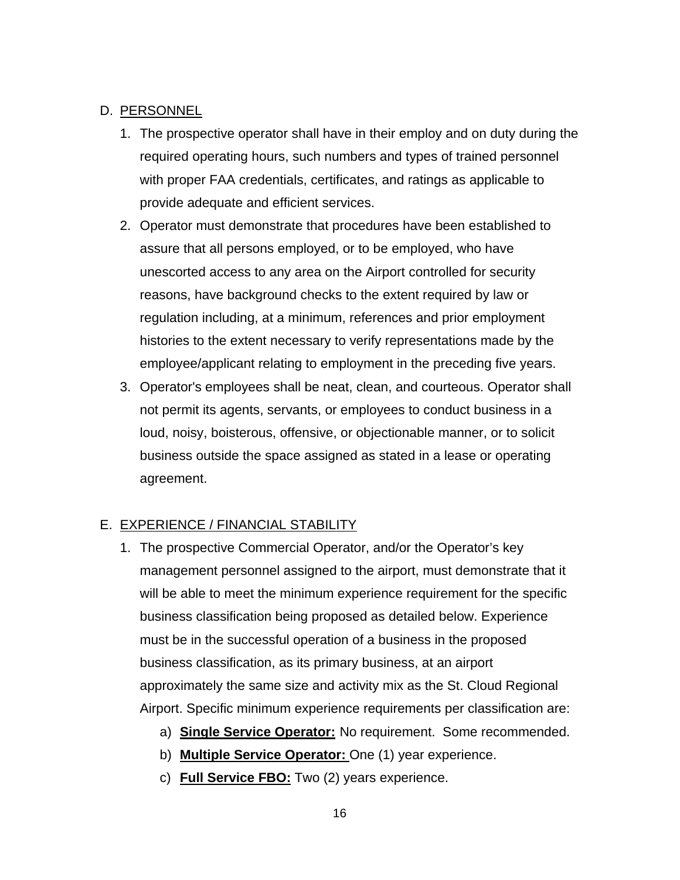#### D. PERSONNEL

- 1. The prospective operator shall have in their employ and on duty during the required operating hours, such numbers and types of trained personnel with proper FAA credentials, certificates, and ratings as applicable to provide adequate and efficient services.
- 2. Operator must demonstrate that procedures have been established to assure that all persons employed, or to be employed, who have unescorted access to any area on the Airport controlled for security reasons, have background checks to the extent required by law or regulation including, at a minimum, references and prior employment histories to the extent necessary to verify representations made by the employee/applicant relating to employment in the preceding five years.
- 3. Operator's employees shall be neat, clean, and courteous. Operator shall not permit its agents, servants, or employees to conduct business in a loud, noisy, boisterous, offensive, or objectionable manner, or to solicit business outside the space assigned as stated in a lease or operating agreement.

#### E. EXPERIENCE / FINANCIAL STABILITY

- 1. The prospective Commercial Operator, and/or the Operator's key management personnel assigned to the airport, must demonstrate that it will be able to meet the minimum experience requirement for the specific business classification being proposed as detailed below. Experience must be in the successful operation of a business in the proposed business classification, as its primary business, at an airport approximately the same size and activity mix as the St. Cloud Regional Airport. Specific minimum experience requirements per classification are:
	- a) **Single Service Operator:** No requirement. Some recommended.
	- b) **Multiple Service Operator:** One (1) year experience.
	- c) **Full Service FBO:** Two (2) years experience.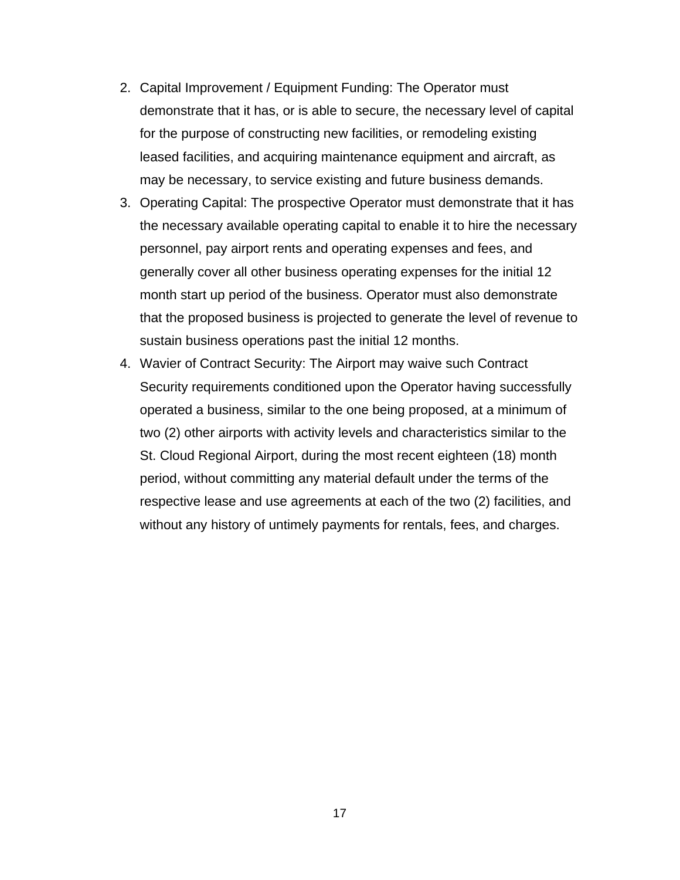- 2. Capital Improvement / Equipment Funding: The Operator must demonstrate that it has, or is able to secure, the necessary level of capital for the purpose of constructing new facilities, or remodeling existing leased facilities, and acquiring maintenance equipment and aircraft, as may be necessary, to service existing and future business demands.
- 3. Operating Capital: The prospective Operator must demonstrate that it has the necessary available operating capital to enable it to hire the necessary personnel, pay airport rents and operating expenses and fees, and generally cover all other business operating expenses for the initial 12 month start up period of the business. Operator must also demonstrate that the proposed business is projected to generate the level of revenue to sustain business operations past the initial 12 months.
- 4. Wavier of Contract Security: The Airport may waive such Contract Security requirements conditioned upon the Operator having successfully operated a business, similar to the one being proposed, at a minimum of two (2) other airports with activity levels and characteristics similar to the St. Cloud Regional Airport, during the most recent eighteen (18) month period, without committing any material default under the terms of the respective lease and use agreements at each of the two (2) facilities, and without any history of untimely payments for rentals, fees, and charges.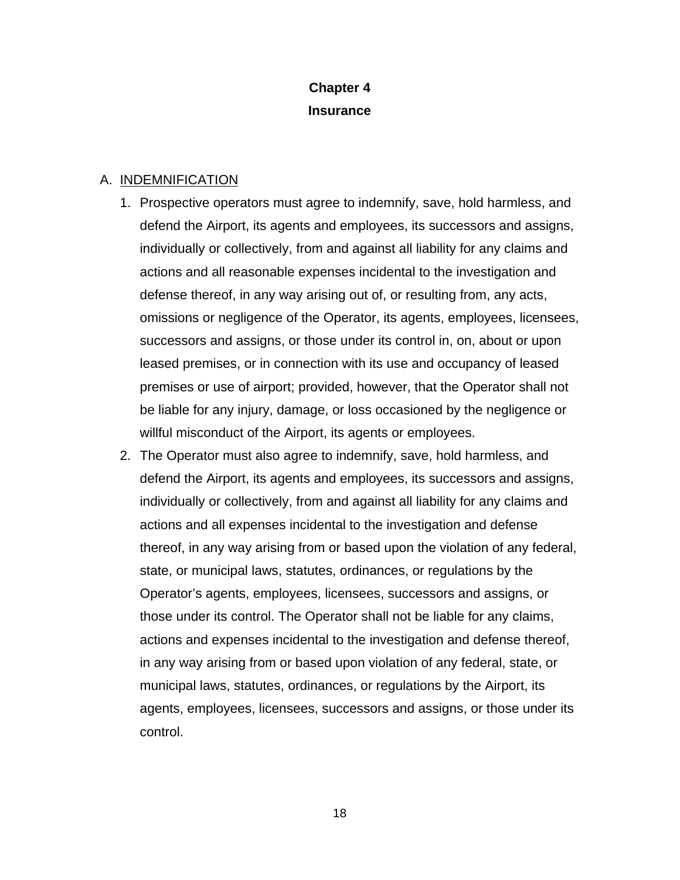# **Chapter 4 Insurance**

#### A. INDEMNIFICATION

- 1. Prospective operators must agree to indemnify, save, hold harmless, and defend the Airport, its agents and employees, its successors and assigns, individually or collectively, from and against all liability for any claims and actions and all reasonable expenses incidental to the investigation and defense thereof, in any way arising out of, or resulting from, any acts, omissions or negligence of the Operator, its agents, employees, licensees, successors and assigns, or those under its control in, on, about or upon leased premises, or in connection with its use and occupancy of leased premises or use of airport; provided, however, that the Operator shall not be liable for any injury, damage, or loss occasioned by the negligence or willful misconduct of the Airport, its agents or employees.
- 2. The Operator must also agree to indemnify, save, hold harmless, and defend the Airport, its agents and employees, its successors and assigns, individually or collectively, from and against all liability for any claims and actions and all expenses incidental to the investigation and defense thereof, in any way arising from or based upon the violation of any federal, state, or municipal laws, statutes, ordinances, or regulations by the Operator's agents, employees, licensees, successors and assigns, or those under its control. The Operator shall not be liable for any claims, actions and expenses incidental to the investigation and defense thereof, in any way arising from or based upon violation of any federal, state, or municipal laws, statutes, ordinances, or regulations by the Airport, its agents, employees, licensees, successors and assigns, or those under its control.

18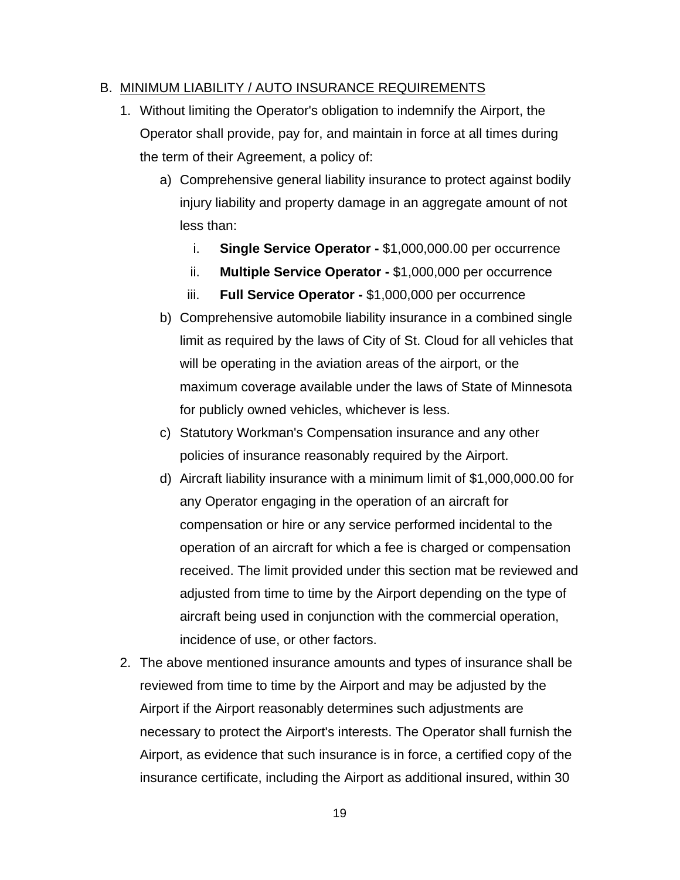#### B. MINIMUM LIABILITY / AUTO INSURANCE REQUIREMENTS

- 1. Without limiting the Operator's obligation to indemnify the Airport, the Operator shall provide, pay for, and maintain in force at all times during the term of their Agreement, a policy of:
	- a) Comprehensive general liability insurance to protect against bodily injury liability and property damage in an aggregate amount of not less than:
		- i. **Single Service Operator** \$1,000,000.00 per occurrence
		- ii. **Multiple Service Operator** \$1,000,000 per occurrence
		- iii. **Full Service Operator** \$1,000,000 per occurrence
	- b) Comprehensive automobile liability insurance in a combined single limit as required by the laws of City of St. Cloud for all vehicles that will be operating in the aviation areas of the airport, or the maximum coverage available under the laws of State of Minnesota for publicly owned vehicles, whichever is less.
	- c) Statutory Workman's Compensation insurance and any other policies of insurance reasonably required by the Airport.
	- d) Aircraft liability insurance with a minimum limit of \$1,000,000.00 for any Operator engaging in the operation of an aircraft for compensation or hire or any service performed incidental to the operation of an aircraft for which a fee is charged or compensation received. The limit provided under this section mat be reviewed and adjusted from time to time by the Airport depending on the type of aircraft being used in conjunction with the commercial operation, incidence of use, or other factors.
- 2. The above mentioned insurance amounts and types of insurance shall be reviewed from time to time by the Airport and may be adjusted by the Airport if the Airport reasonably determines such adjustments are necessary to protect the Airport's interests. The Operator shall furnish the Airport, as evidence that such insurance is in force, a certified copy of the insurance certificate, including the Airport as additional insured, within 30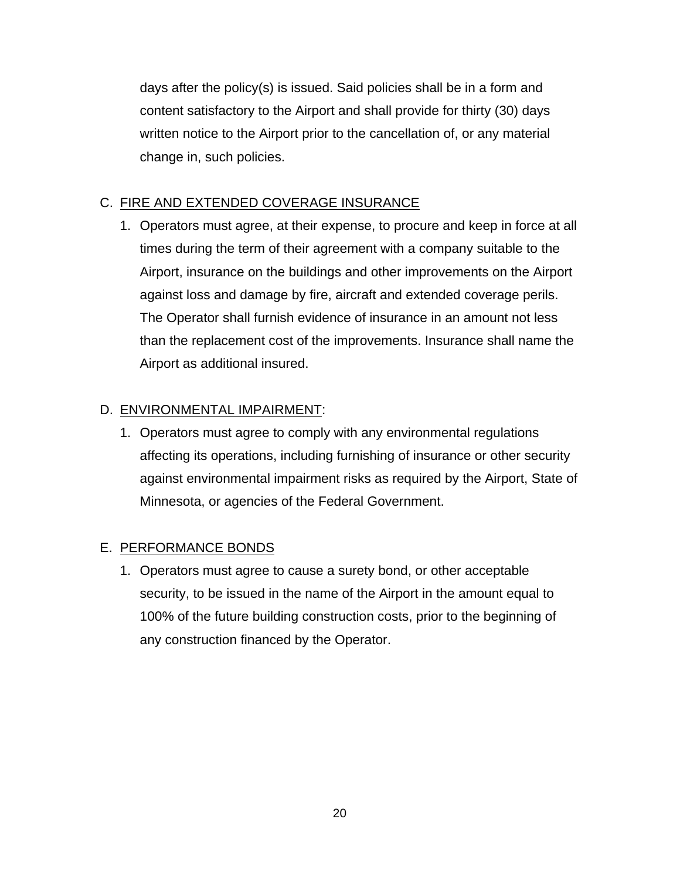days after the policy(s) is issued. Said policies shall be in a form and content satisfactory to the Airport and shall provide for thirty (30) days written notice to the Airport prior to the cancellation of, or any material change in, such policies.

# C. FIRE AND EXTENDED COVERAGE INSURANCE

1. Operators must agree, at their expense, to procure and keep in force at all times during the term of their agreement with a company suitable to the Airport, insurance on the buildings and other improvements on the Airport against loss and damage by fire, aircraft and extended coverage perils. The Operator shall furnish evidence of insurance in an amount not less than the replacement cost of the improvements. Insurance shall name the Airport as additional insured.

## D. ENVIRONMENTAL IMPAIRMENT:

1. Operators must agree to comply with any environmental regulations affecting its operations, including furnishing of insurance or other security against environmental impairment risks as required by the Airport, State of Minnesota, or agencies of the Federal Government.

## E. PERFORMANCE BONDS

1. Operators must agree to cause a surety bond, or other acceptable security, to be issued in the name of the Airport in the amount equal to 100% of the future building construction costs, prior to the beginning of any construction financed by the Operator.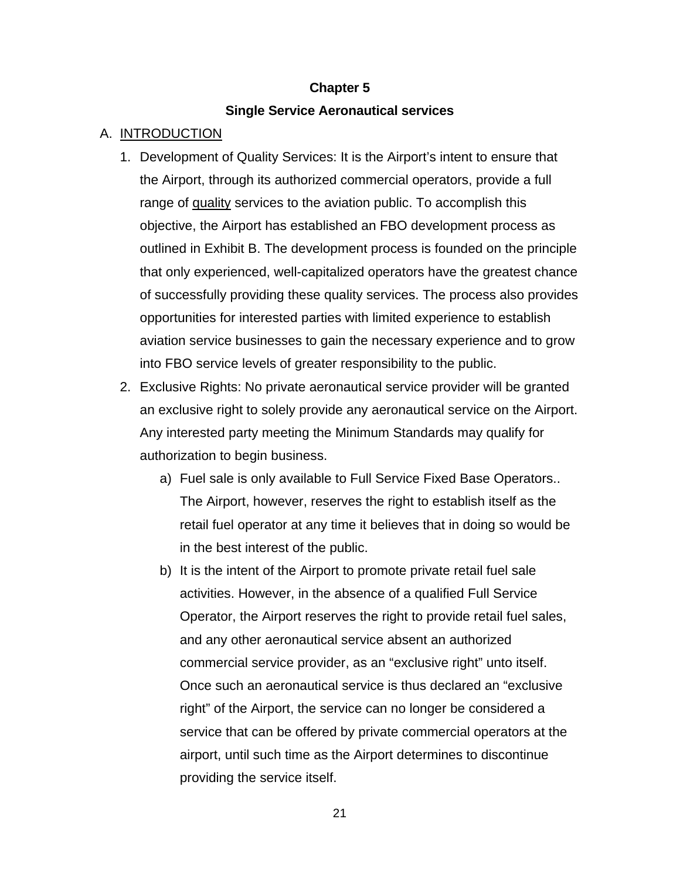#### **Chapter 5**

#### **Single Service Aeronautical services**

## A. INTRODUCTION

- 1. Development of Quality Services: It is the Airport's intent to ensure that the Airport, through its authorized commercial operators, provide a full range of quality services to the aviation public. To accomplish this objective, the Airport has established an FBO development process as outlined in Exhibit B. The development process is founded on the principle that only experienced, well-capitalized operators have the greatest chance of successfully providing these quality services. The process also provides opportunities for interested parties with limited experience to establish aviation service businesses to gain the necessary experience and to grow into FBO service levels of greater responsibility to the public.
- 2. Exclusive Rights: No private aeronautical service provider will be granted an exclusive right to solely provide any aeronautical service on the Airport. Any interested party meeting the Minimum Standards may qualify for authorization to begin business.
	- a) Fuel sale is only available to Full Service Fixed Base Operators.. The Airport, however, reserves the right to establish itself as the retail fuel operator at any time it believes that in doing so would be in the best interest of the public.
	- b) It is the intent of the Airport to promote private retail fuel sale activities. However, in the absence of a qualified Full Service Operator, the Airport reserves the right to provide retail fuel sales, and any other aeronautical service absent an authorized commercial service provider, as an "exclusive right" unto itself. Once such an aeronautical service is thus declared an "exclusive right" of the Airport, the service can no longer be considered a service that can be offered by private commercial operators at the airport, until such time as the Airport determines to discontinue providing the service itself.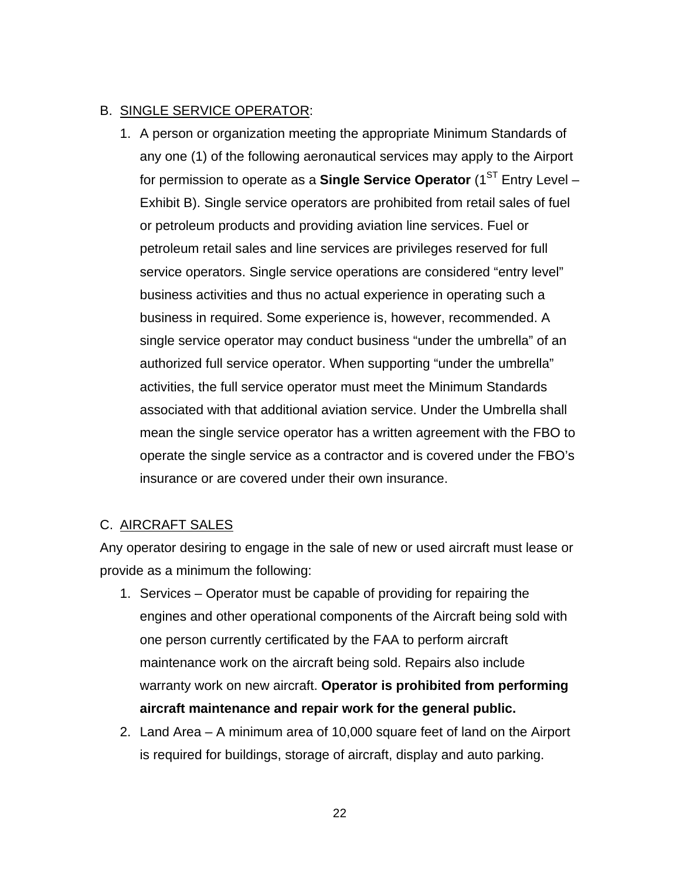#### B. SINGLE SERVICE OPERATOR:

1. A person or organization meeting the appropriate Minimum Standards of any one (1) of the following aeronautical services may apply to the Airport for permission to operate as a **Single Service Operator** (1<sup>ST</sup> Entry Level – Exhibit B). Single service operators are prohibited from retail sales of fuel or petroleum products and providing aviation line services. Fuel or petroleum retail sales and line services are privileges reserved for full service operators. Single service operations are considered "entry level" business activities and thus no actual experience in operating such a business in required. Some experience is, however, recommended. A single service operator may conduct business "under the umbrella" of an authorized full service operator. When supporting "under the umbrella" activities, the full service operator must meet the Minimum Standards associated with that additional aviation service. Under the Umbrella shall mean the single service operator has a written agreement with the FBO to operate the single service as a contractor and is covered under the FBO's insurance or are covered under their own insurance.

#### C. AIRCRAFT SALES

Any operator desiring to engage in the sale of new or used aircraft must lease or provide as a minimum the following:

- 1. Services Operator must be capable of providing for repairing the engines and other operational components of the Aircraft being sold with one person currently certificated by the FAA to perform aircraft maintenance work on the aircraft being sold. Repairs also include warranty work on new aircraft. **Operator is prohibited from performing aircraft maintenance and repair work for the general public.**
- 2. Land Area A minimum area of 10,000 square feet of land on the Airport is required for buildings, storage of aircraft, display and auto parking.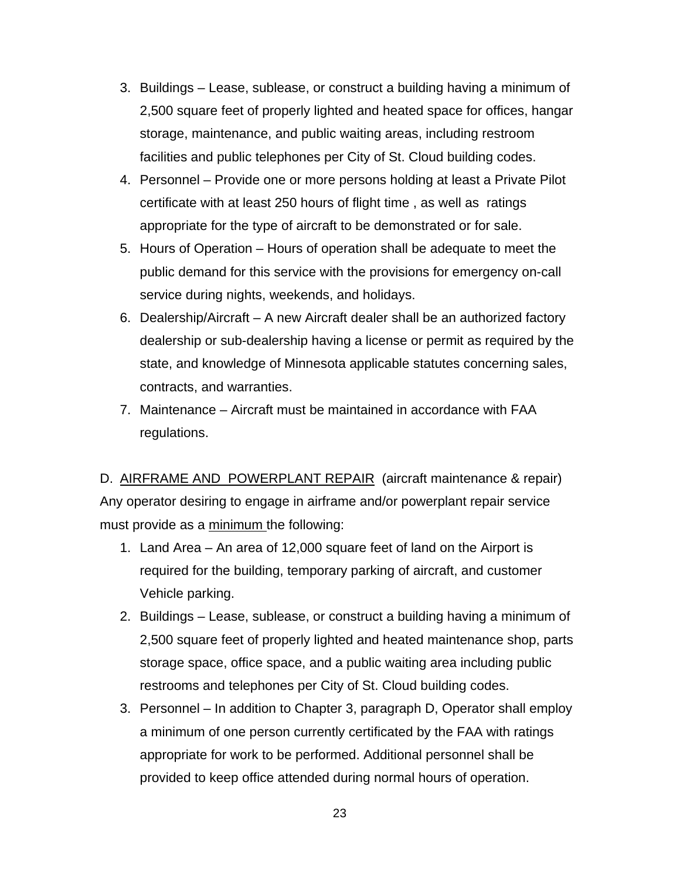- 3. Buildings Lease, sublease, or construct a building having a minimum of 2,500 square feet of properly lighted and heated space for offices, hangar storage, maintenance, and public waiting areas, including restroom facilities and public telephones per City of St. Cloud building codes.
- 4. Personnel Provide one or more persons holding at least a Private Pilot certificate with at least 250 hours of flight time , as well as ratings appropriate for the type of aircraft to be demonstrated or for sale.
- 5. Hours of Operation Hours of operation shall be adequate to meet the public demand for this service with the provisions for emergency on-call service during nights, weekends, and holidays.
- 6. Dealership/Aircraft A new Aircraft dealer shall be an authorized factory dealership or sub-dealership having a license or permit as required by the state, and knowledge of Minnesota applicable statutes concerning sales, contracts, and warranties.
- 7. Maintenance Aircraft must be maintained in accordance with FAA regulations.

D. AIRFRAME AND POWERPLANT REPAIR (aircraft maintenance & repair) Any operator desiring to engage in airframe and/or powerplant repair service must provide as a minimum the following:

- 1. Land Area An area of 12,000 square feet of land on the Airport is required for the building, temporary parking of aircraft, and customer Vehicle parking.
- 2. Buildings Lease, sublease, or construct a building having a minimum of 2,500 square feet of properly lighted and heated maintenance shop, parts storage space, office space, and a public waiting area including public restrooms and telephones per City of St. Cloud building codes.
- 3. Personnel In addition to Chapter 3, paragraph D, Operator shall employ a minimum of one person currently certificated by the FAA with ratings appropriate for work to be performed. Additional personnel shall be provided to keep office attended during normal hours of operation.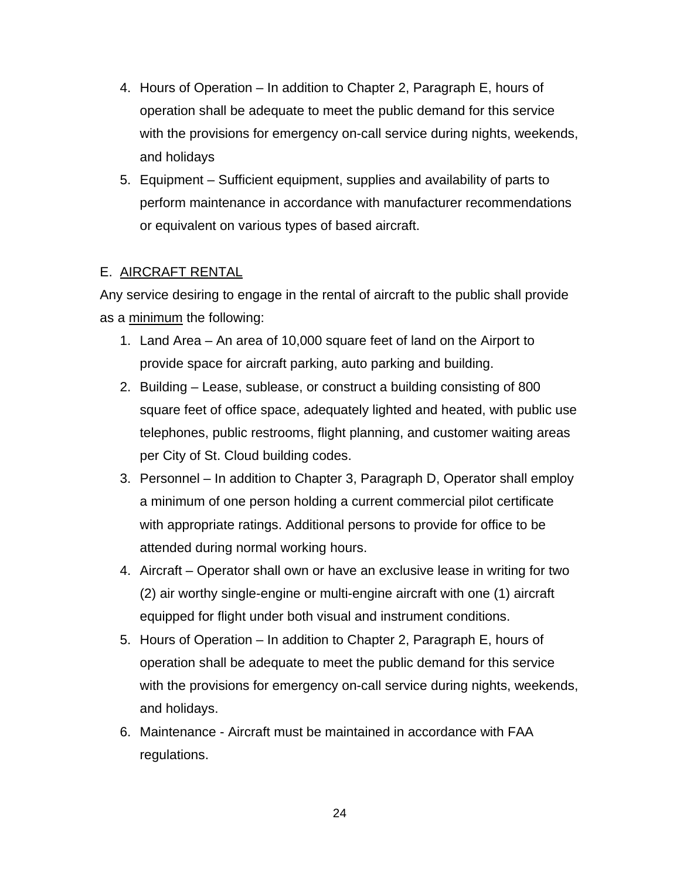- 4. Hours of Operation In addition to Chapter 2, Paragraph E, hours of operation shall be adequate to meet the public demand for this service with the provisions for emergency on-call service during nights, weekends, and holidays
- 5. Equipment Sufficient equipment, supplies and availability of parts to perform maintenance in accordance with manufacturer recommendations or equivalent on various types of based aircraft.

#### E. AIRCRAFT RENTAL

Any service desiring to engage in the rental of aircraft to the public shall provide as a minimum the following:

- 1. Land Area An area of 10,000 square feet of land on the Airport to provide space for aircraft parking, auto parking and building.
- 2. Building Lease, sublease, or construct a building consisting of 800 square feet of office space, adequately lighted and heated, with public use telephones, public restrooms, flight planning, and customer waiting areas per City of St. Cloud building codes.
- 3. Personnel In addition to Chapter 3, Paragraph D, Operator shall employ a minimum of one person holding a current commercial pilot certificate with appropriate ratings. Additional persons to provide for office to be attended during normal working hours.
- 4. Aircraft Operator shall own or have an exclusive lease in writing for two (2) air worthy single-engine or multi-engine aircraft with one (1) aircraft equipped for flight under both visual and instrument conditions.
- 5. Hours of Operation In addition to Chapter 2, Paragraph E, hours of operation shall be adequate to meet the public demand for this service with the provisions for emergency on-call service during nights, weekends, and holidays.
- 6. Maintenance Aircraft must be maintained in accordance with FAA regulations.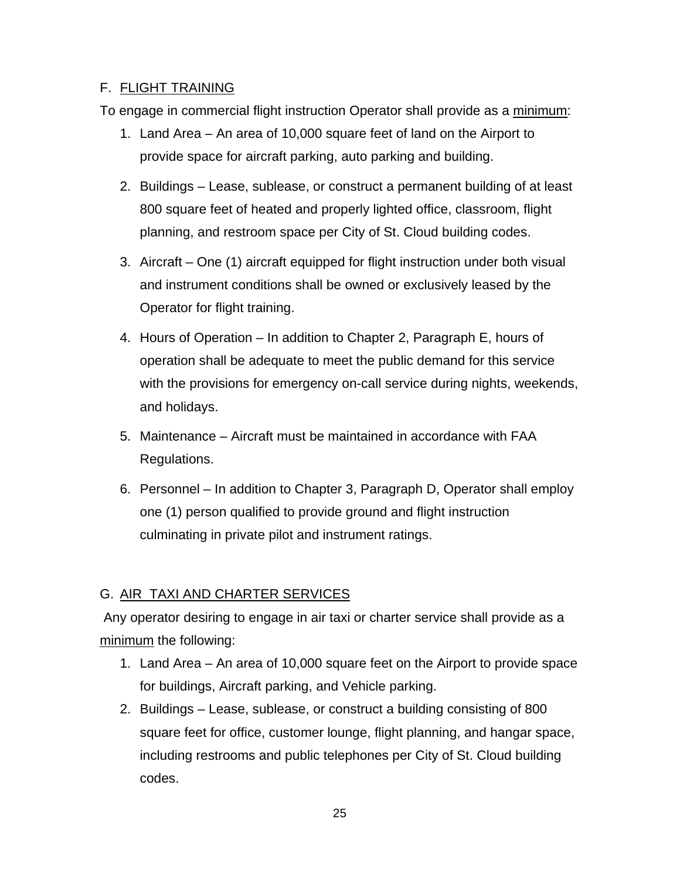## F. FLIGHT TRAINING

To engage in commercial flight instruction Operator shall provide as a minimum:

- 1. Land Area An area of 10,000 square feet of land on the Airport to provide space for aircraft parking, auto parking and building.
- 2. Buildings Lease, sublease, or construct a permanent building of at least 800 square feet of heated and properly lighted office, classroom, flight planning, and restroom space per City of St. Cloud building codes.
- 3. Aircraft One (1) aircraft equipped for flight instruction under both visual and instrument conditions shall be owned or exclusively leased by the Operator for flight training.
- 4. Hours of Operation In addition to Chapter 2, Paragraph E, hours of operation shall be adequate to meet the public demand for this service with the provisions for emergency on-call service during nights, weekends, and holidays.
- 5. Maintenance Aircraft must be maintained in accordance with FAA Regulations.
- 6. Personnel In addition to Chapter 3, Paragraph D, Operator shall employ one (1) person qualified to provide ground and flight instruction culminating in private pilot and instrument ratings.

# G. AIR TAXI AND CHARTER SERVICES

 Any operator desiring to engage in air taxi or charter service shall provide as a minimum the following:

- 1. Land Area An area of 10,000 square feet on the Airport to provide space for buildings, Aircraft parking, and Vehicle parking.
- 2. Buildings Lease, sublease, or construct a building consisting of 800 square feet for office, customer lounge, flight planning, and hangar space, including restrooms and public telephones per City of St. Cloud building codes.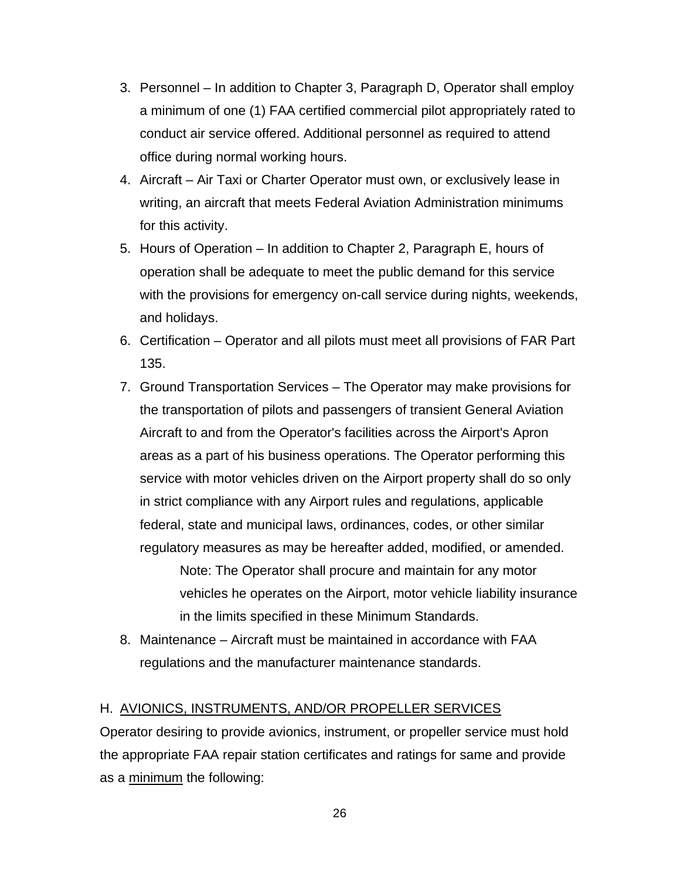- 3. Personnel In addition to Chapter 3, Paragraph D, Operator shall employ a minimum of one (1) FAA certified commercial pilot appropriately rated to conduct air service offered. Additional personnel as required to attend office during normal working hours.
- 4. Aircraft Air Taxi or Charter Operator must own, or exclusively lease in writing, an aircraft that meets Federal Aviation Administration minimums for this activity.
- 5. Hours of Operation In addition to Chapter 2, Paragraph E, hours of operation shall be adequate to meet the public demand for this service with the provisions for emergency on-call service during nights, weekends, and holidays.
- 6. Certification Operator and all pilots must meet all provisions of FAR Part 135.
- 7. Ground Transportation Services The Operator may make provisions for the transportation of pilots and passengers of transient General Aviation Aircraft to and from the Operator's facilities across the Airport's Apron areas as a part of his business operations. The Operator performing this service with motor vehicles driven on the Airport property shall do so only in strict compliance with any Airport rules and regulations, applicable federal, state and municipal laws, ordinances, codes, or other similar regulatory measures as may be hereafter added, modified, or amended.

Note: The Operator shall procure and maintain for any motor vehicles he operates on the Airport, motor vehicle liability insurance in the limits specified in these Minimum Standards.

8. Maintenance – Aircraft must be maintained in accordance with FAA regulations and the manufacturer maintenance standards.

#### H. AVIONICS, INSTRUMENTS, AND/OR PROPELLER SERVICES

Operator desiring to provide avionics, instrument, or propeller service must hold the appropriate FAA repair station certificates and ratings for same and provide as a minimum the following: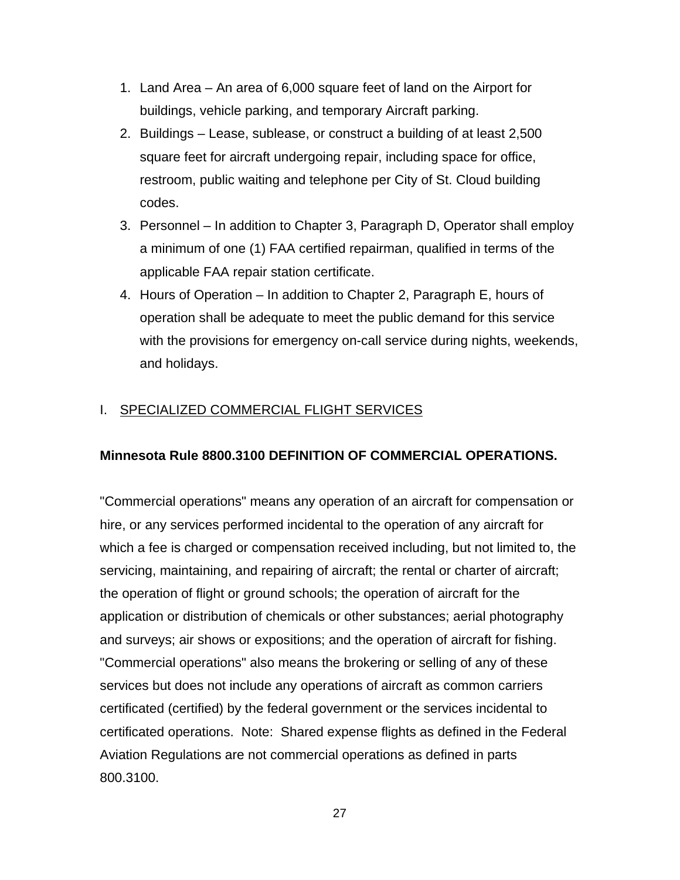- 1. Land Area An area of 6,000 square feet of land on the Airport for buildings, vehicle parking, and temporary Aircraft parking.
- 2. Buildings Lease, sublease, or construct a building of at least 2,500 square feet for aircraft undergoing repair, including space for office, restroom, public waiting and telephone per City of St. Cloud building codes.
- 3. Personnel In addition to Chapter 3, Paragraph D, Operator shall employ a minimum of one (1) FAA certified repairman, qualified in terms of the applicable FAA repair station certificate.
- 4. Hours of Operation In addition to Chapter 2, Paragraph E, hours of operation shall be adequate to meet the public demand for this service with the provisions for emergency on-call service during nights, weekends, and holidays.

## I. SPECIALIZED COMMERCIAL FLIGHT SERVICES

## **Minnesota Rule 8800.3100 DEFINITION OF COMMERCIAL OPERATIONS.**

"Commercial operations" means any operation of an aircraft for compensation or hire, or any services performed incidental to the operation of any aircraft for which a fee is charged or compensation received including, but not limited to, the servicing, maintaining, and repairing of aircraft; the rental or charter of aircraft; the operation of flight or ground schools; the operation of aircraft for the application or distribution of chemicals or other substances; aerial photography and surveys; air shows or expositions; and the operation of aircraft for fishing. "Commercial operations" also means the brokering or selling of any of these services but does not include any operations of aircraft as common carriers certificated (certified) by the federal government or the services incidental to certificated operations. Note: Shared expense flights as defined in the Federal Aviation Regulations are not commercial operations as defined in parts 800.3100.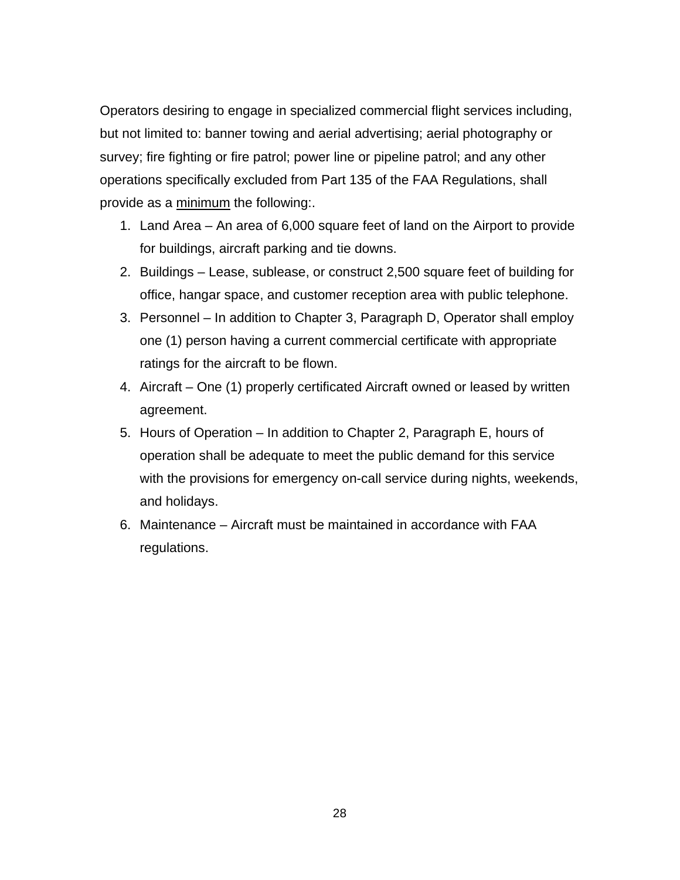Operators desiring to engage in specialized commercial flight services including, but not limited to: banner towing and aerial advertising; aerial photography or survey; fire fighting or fire patrol; power line or pipeline patrol; and any other operations specifically excluded from Part 135 of the FAA Regulations, shall provide as a minimum the following:.

- 1. Land Area An area of 6,000 square feet of land on the Airport to provide for buildings, aircraft parking and tie downs.
- 2. Buildings Lease, sublease, or construct 2,500 square feet of building for office, hangar space, and customer reception area with public telephone.
- 3. Personnel In addition to Chapter 3, Paragraph D, Operator shall employ one (1) person having a current commercial certificate with appropriate ratings for the aircraft to be flown.
- 4. Aircraft One (1) properly certificated Aircraft owned or leased by written agreement.
- 5. Hours of Operation In addition to Chapter 2, Paragraph E, hours of operation shall be adequate to meet the public demand for this service with the provisions for emergency on-call service during nights, weekends, and holidays.
- 6. Maintenance Aircraft must be maintained in accordance with FAA regulations.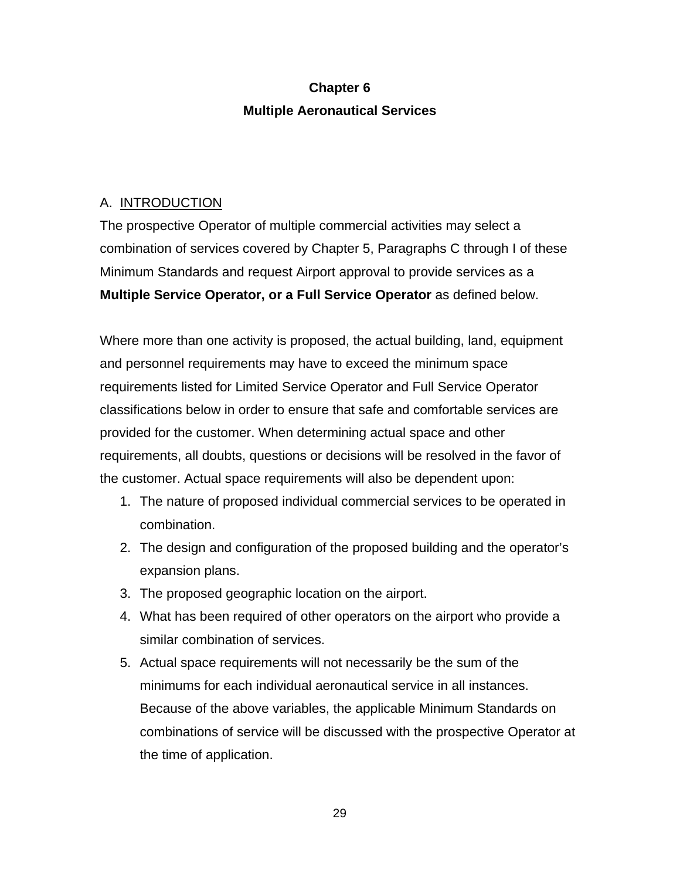# **Chapter 6 Multiple Aeronautical Services**

#### A. INTRODUCTION

The prospective Operator of multiple commercial activities may select a combination of services covered by Chapter 5, Paragraphs C through I of these Minimum Standards and request Airport approval to provide services as a **Multiple Service Operator, or a Full Service Operator** as defined below.

Where more than one activity is proposed, the actual building, land, equipment and personnel requirements may have to exceed the minimum space requirements listed for Limited Service Operator and Full Service Operator classifications below in order to ensure that safe and comfortable services are provided for the customer. When determining actual space and other requirements, all doubts, questions or decisions will be resolved in the favor of the customer. Actual space requirements will also be dependent upon:

- 1. The nature of proposed individual commercial services to be operated in combination.
- 2. The design and configuration of the proposed building and the operator's expansion plans.
- 3. The proposed geographic location on the airport.
- 4. What has been required of other operators on the airport who provide a similar combination of services.
- 5. Actual space requirements will not necessarily be the sum of the minimums for each individual aeronautical service in all instances. Because of the above variables, the applicable Minimum Standards on combinations of service will be discussed with the prospective Operator at the time of application.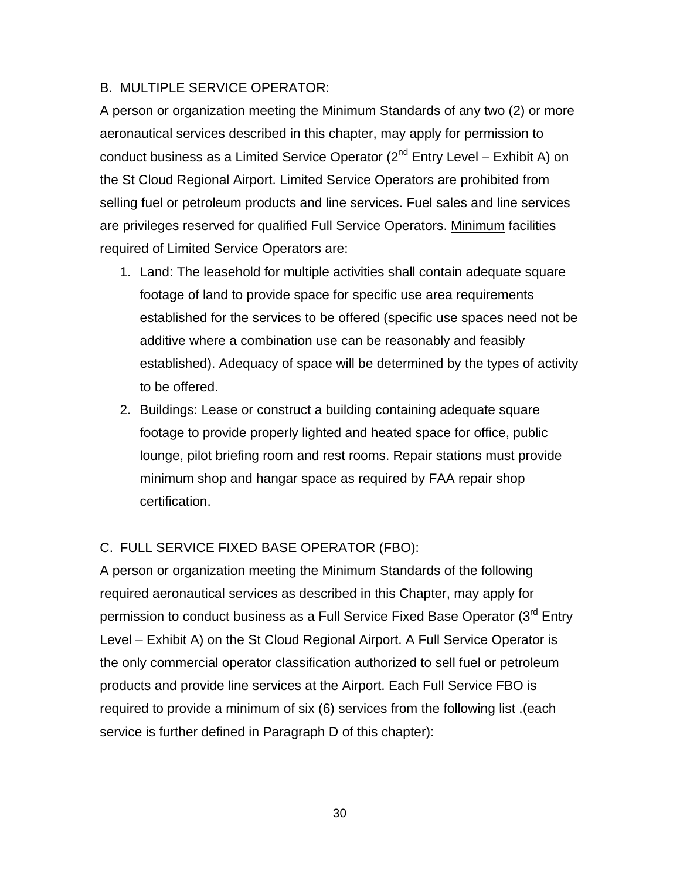#### B. MULTIPLE SERVICE OPERATOR:

A person or organization meeting the Minimum Standards of any two (2) or more aeronautical services described in this chapter, may apply for permission to conduct business as a Limited Service Operator  $(2^{nd}$  Entry Level – Exhibit A) on the St Cloud Regional Airport. Limited Service Operators are prohibited from selling fuel or petroleum products and line services. Fuel sales and line services are privileges reserved for qualified Full Service Operators. Minimum facilities required of Limited Service Operators are:

- 1. Land: The leasehold for multiple activities shall contain adequate square footage of land to provide space for specific use area requirements established for the services to be offered (specific use spaces need not be additive where a combination use can be reasonably and feasibly established). Adequacy of space will be determined by the types of activity to be offered.
- 2. Buildings: Lease or construct a building containing adequate square footage to provide properly lighted and heated space for office, public lounge, pilot briefing room and rest rooms. Repair stations must provide minimum shop and hangar space as required by FAA repair shop certification.

## C. FULL SERVICE FIXED BASE OPERATOR (FBO):

A person or organization meeting the Minimum Standards of the following required aeronautical services as described in this Chapter, may apply for permission to conduct business as a Full Service Fixed Base Operator (3<sup>rd</sup> Entry Level – Exhibit A) on the St Cloud Regional Airport. A Full Service Operator is the only commercial operator classification authorized to sell fuel or petroleum products and provide line services at the Airport. Each Full Service FBO is required to provide a minimum of six (6) services from the following list .(each service is further defined in Paragraph D of this chapter):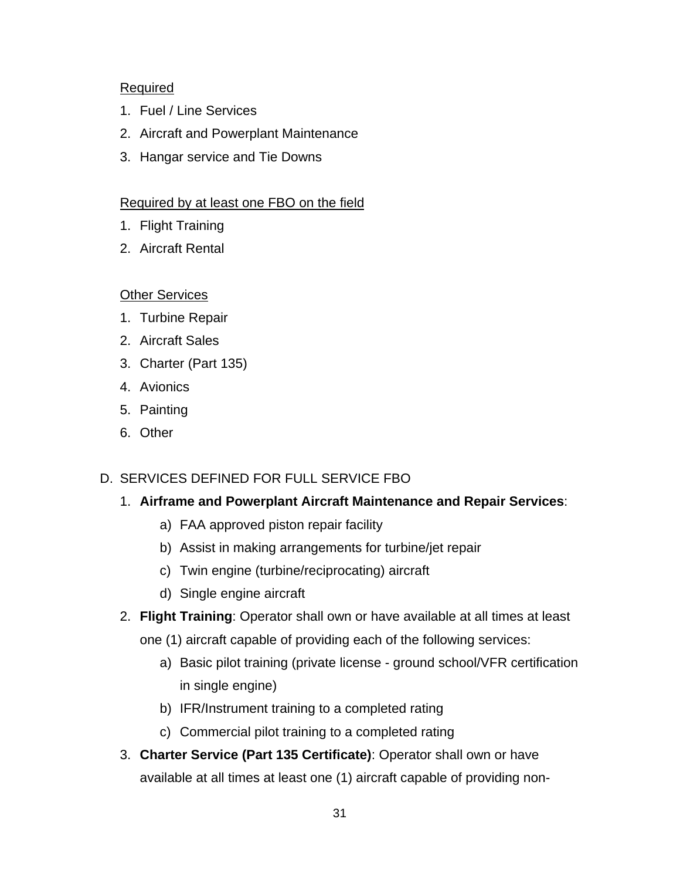#### Required

- 1. Fuel / Line Services
- 2. Aircraft and Powerplant Maintenance
- 3. Hangar service and Tie Downs

#### Required by at least one FBO on the field

- 1. Flight Training
- 2. Aircraft Rental

#### Other Services

- 1. Turbine Repair
- 2. Aircraft Sales
- 3. Charter (Part 135)
- 4. Avionics
- 5. Painting
- 6. Other

## D. SERVICES DEFINED FOR FULL SERVICE FBO

## 1. **Airframe and Powerplant Aircraft Maintenance and Repair Services**:

- a) FAA approved piston repair facility
- b) Assist in making arrangements for turbine/jet repair
- c) Twin engine (turbine/reciprocating) aircraft
- d) Single engine aircraft
- 2. **Flight Training**: Operator shall own or have available at all times at least
	- one (1) aircraft capable of providing each of the following services:
		- a) Basic pilot training (private license ground school/VFR certification in single engine)
		- b) IFR/Instrument training to a completed rating
		- c) Commercial pilot training to a completed rating
- 3. **Charter Service (Part 135 Certificate)**: Operator shall own or have available at all times at least one (1) aircraft capable of providing non-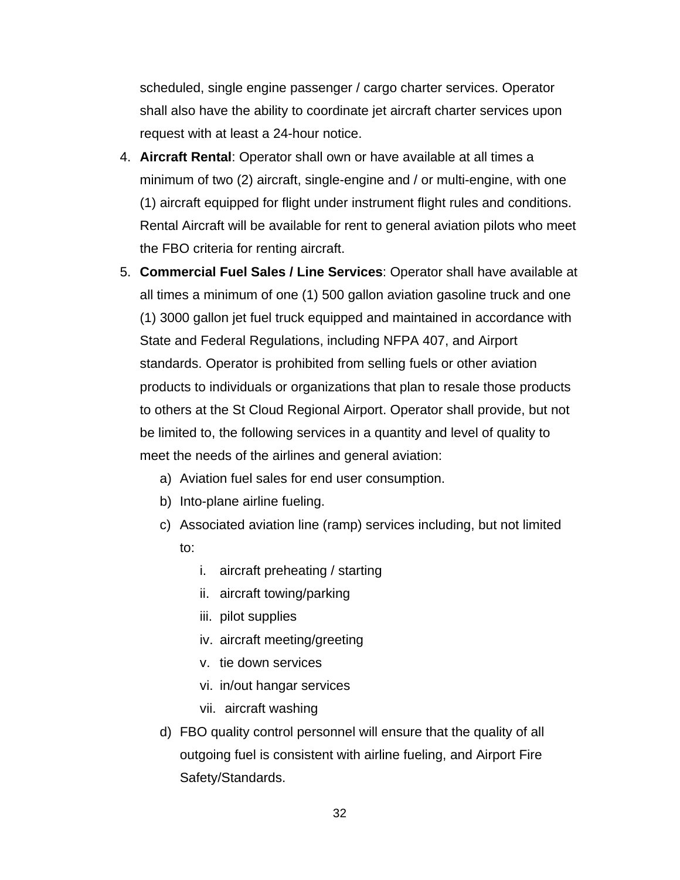scheduled, single engine passenger / cargo charter services. Operator shall also have the ability to coordinate jet aircraft charter services upon request with at least a 24-hour notice.

- 4. **Aircraft Rental**: Operator shall own or have available at all times a minimum of two (2) aircraft, single-engine and / or multi-engine, with one (1) aircraft equipped for flight under instrument flight rules and conditions. Rental Aircraft will be available for rent to general aviation pilots who meet the FBO criteria for renting aircraft.
- 5. **Commercial Fuel Sales / Line Services**: Operator shall have available at all times a minimum of one (1) 500 gallon aviation gasoline truck and one (1) 3000 gallon jet fuel truck equipped and maintained in accordance with State and Federal Regulations, including NFPA 407, and Airport standards. Operator is prohibited from selling fuels or other aviation products to individuals or organizations that plan to resale those products to others at the St Cloud Regional Airport. Operator shall provide, but not be limited to, the following services in a quantity and level of quality to meet the needs of the airlines and general aviation:
	- a) Aviation fuel sales for end user consumption.
	- b) Into-plane airline fueling.
	- c) Associated aviation line (ramp) services including, but not limited to:
		- i. aircraft preheating / starting
		- ii. aircraft towing/parking
		- iii. pilot supplies
		- iv. aircraft meeting/greeting
		- v. tie down services
		- vi. in/out hangar services
		- vii. aircraft washing
	- d) FBO quality control personnel will ensure that the quality of all outgoing fuel is consistent with airline fueling, and Airport Fire Safety/Standards.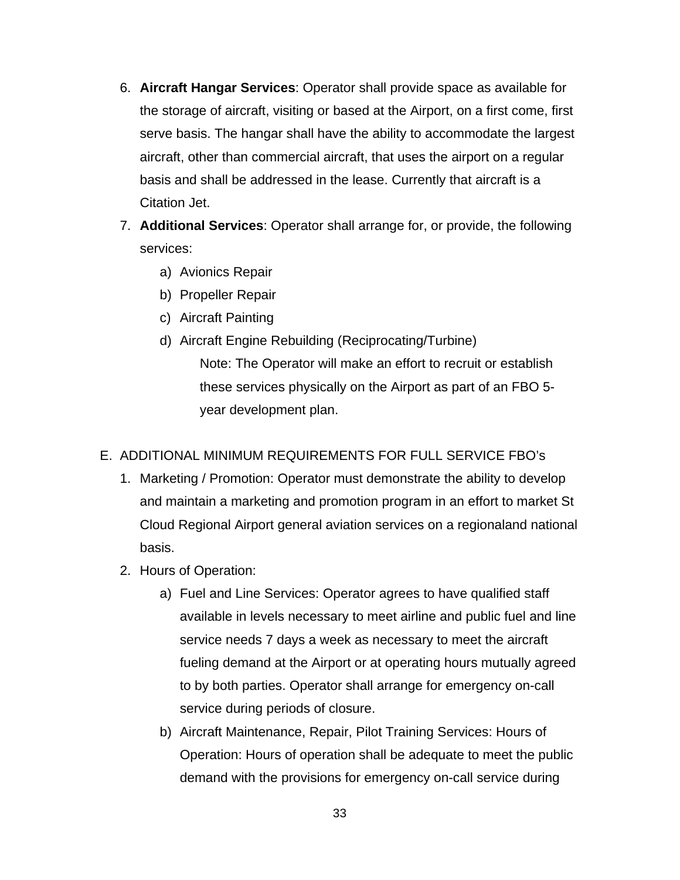- 6. **Aircraft Hangar Services**: Operator shall provide space as available for the storage of aircraft, visiting or based at the Airport, on a first come, first serve basis. The hangar shall have the ability to accommodate the largest aircraft, other than commercial aircraft, that uses the airport on a regular basis and shall be addressed in the lease. Currently that aircraft is a Citation Jet.
- 7. **Additional Services**: Operator shall arrange for, or provide, the following services:
	- a) Avionics Repair
	- b) Propeller Repair
	- c) Aircraft Painting
	- d) Aircraft Engine Rebuilding (Reciprocating/Turbine) Note: The Operator will make an effort to recruit or establish these services physically on the Airport as part of an FBO 5 year development plan.

#### E. ADDITIONAL MINIMUM REQUIREMENTS FOR FULL SERVICE FBO's

- 1. Marketing / Promotion: Operator must demonstrate the ability to develop and maintain a marketing and promotion program in an effort to market St Cloud Regional Airport general aviation services on a regionaland national basis.
- 2. Hours of Operation:
	- a) Fuel and Line Services: Operator agrees to have qualified staff available in levels necessary to meet airline and public fuel and line service needs 7 days a week as necessary to meet the aircraft fueling demand at the Airport or at operating hours mutually agreed to by both parties. Operator shall arrange for emergency on-call service during periods of closure.
	- b) Aircraft Maintenance, Repair, Pilot Training Services: Hours of Operation: Hours of operation shall be adequate to meet the public demand with the provisions for emergency on-call service during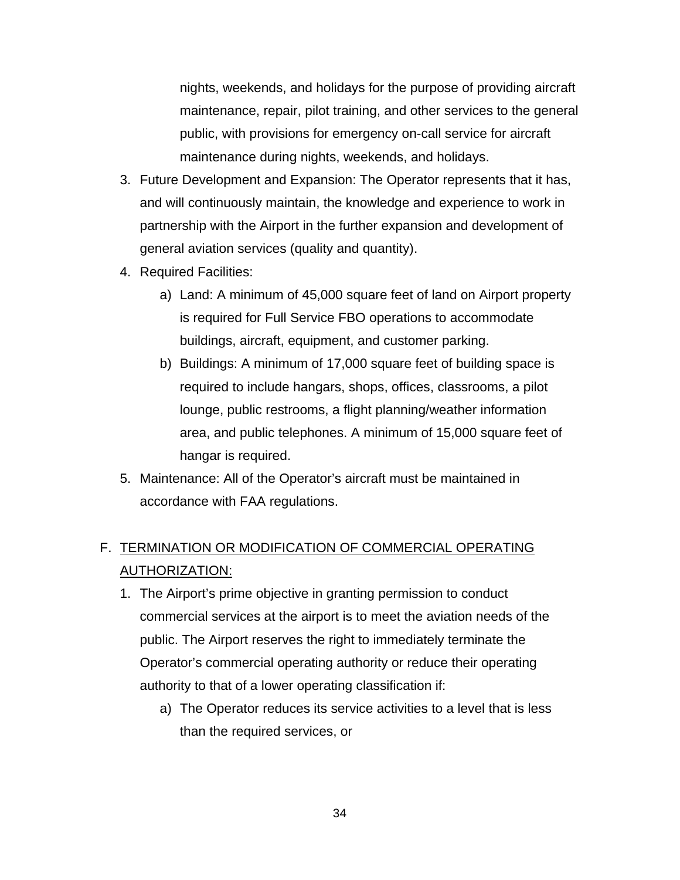nights, weekends, and holidays for the purpose of providing aircraft maintenance, repair, pilot training, and other services to the general public, with provisions for emergency on-call service for aircraft maintenance during nights, weekends, and holidays.

- 3. Future Development and Expansion: The Operator represents that it has, and will continuously maintain, the knowledge and experience to work in partnership with the Airport in the further expansion and development of general aviation services (quality and quantity).
- 4. Required Facilities:
	- a) Land: A minimum of 45,000 square feet of land on Airport property is required for Full Service FBO operations to accommodate buildings, aircraft, equipment, and customer parking.
	- b) Buildings: A minimum of 17,000 square feet of building space is required to include hangars, shops, offices, classrooms, a pilot lounge, public restrooms, a flight planning/weather information area, and public telephones. A minimum of 15,000 square feet of hangar is required.
- 5. Maintenance: All of the Operator's aircraft must be maintained in accordance with FAA regulations.

# F. TERMINATION OR MODIFICATION OF COMMERCIAL OPERATING AUTHORIZATION:

- 1. The Airport's prime objective in granting permission to conduct commercial services at the airport is to meet the aviation needs of the public. The Airport reserves the right to immediately terminate the Operator's commercial operating authority or reduce their operating authority to that of a lower operating classification if:
	- a) The Operator reduces its service activities to a level that is less than the required services, or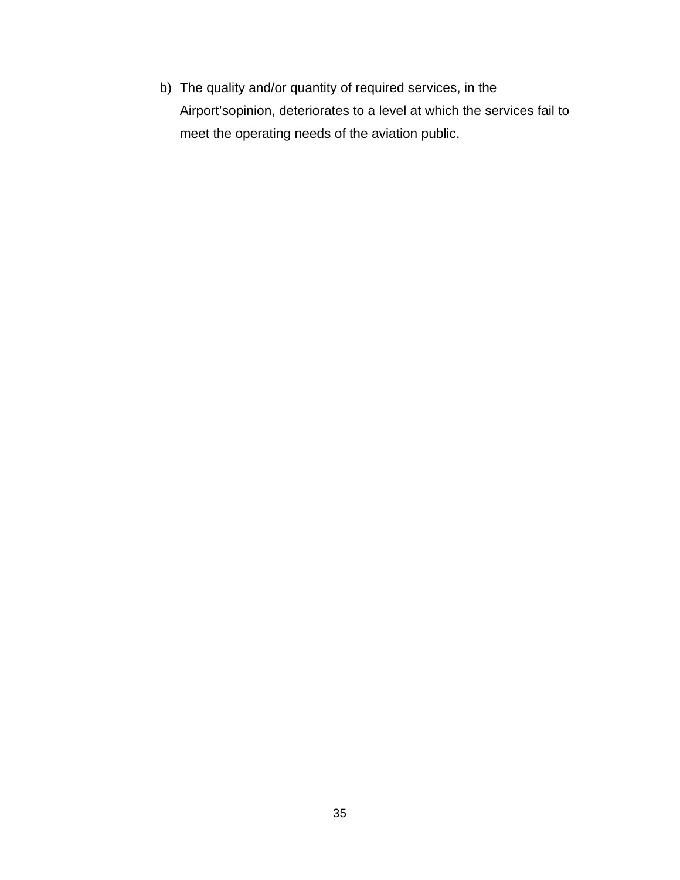b) The quality and/or quantity of required services, in the Airport'sopinion, deteriorates to a level at which the services fail to meet the operating needs of the aviation public.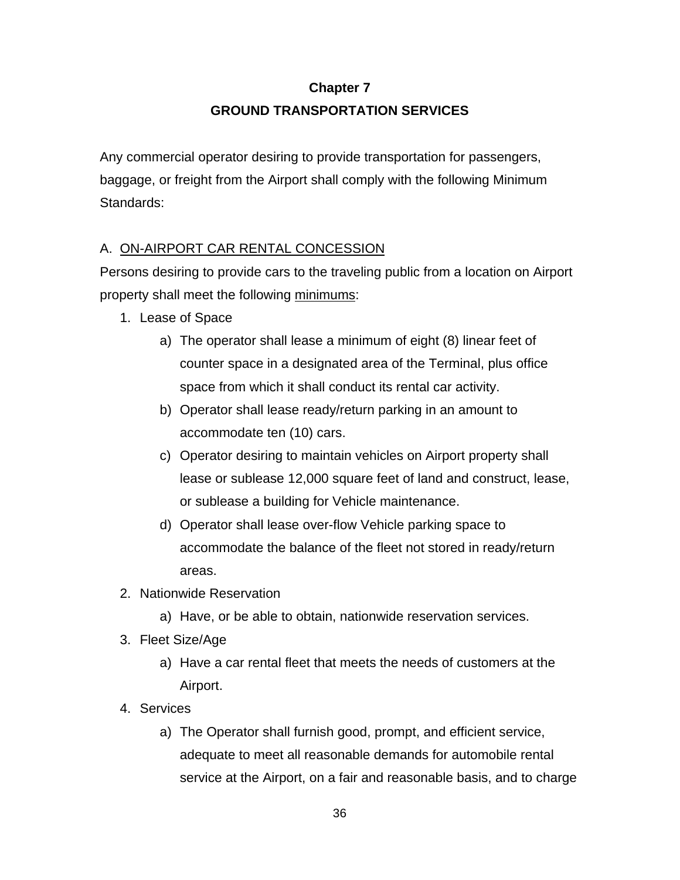# **Chapter 7 GROUND TRANSPORTATION SERVICES**

Any commercial operator desiring to provide transportation for passengers, baggage, or freight from the Airport shall comply with the following Minimum Standards:

## A. ON-AIRPORT CAR RENTAL CONCESSION

Persons desiring to provide cars to the traveling public from a location on Airport property shall meet the following minimums:

- 1. Lease of Space
	- a) The operator shall lease a minimum of eight (8) linear feet of counter space in a designated area of the Terminal, plus office space from which it shall conduct its rental car activity.
	- b) Operator shall lease ready/return parking in an amount to accommodate ten (10) cars.
	- c) Operator desiring to maintain vehicles on Airport property shall lease or sublease 12,000 square feet of land and construct, lease, or sublease a building for Vehicle maintenance.
	- d) Operator shall lease over-flow Vehicle parking space to accommodate the balance of the fleet not stored in ready/return areas.
- 2. Nationwide Reservation
	- a) Have, or be able to obtain, nationwide reservation services.
- 3. Fleet Size/Age
	- a) Have a car rental fleet that meets the needs of customers at the Airport.
- 4. Services
	- a) The Operator shall furnish good, prompt, and efficient service, adequate to meet all reasonable demands for automobile rental service at the Airport, on a fair and reasonable basis, and to charge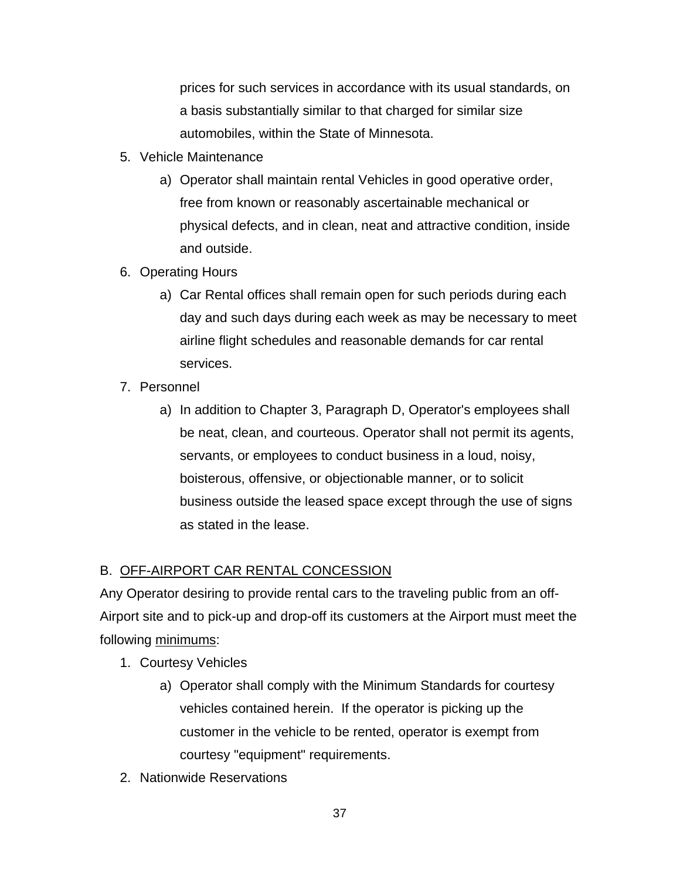prices for such services in accordance with its usual standards, on a basis substantially similar to that charged for similar size automobiles, within the State of Minnesota.

- 5. Vehicle Maintenance
	- a) Operator shall maintain rental Vehicles in good operative order, free from known or reasonably ascertainable mechanical or physical defects, and in clean, neat and attractive condition, inside and outside.
- 6. Operating Hours
	- a) Car Rental offices shall remain open for such periods during each day and such days during each week as may be necessary to meet airline flight schedules and reasonable demands for car rental services.
- 7. Personnel
	- a) In addition to Chapter 3, Paragraph D, Operator's employees shall be neat, clean, and courteous. Operator shall not permit its agents, servants, or employees to conduct business in a loud, noisy, boisterous, offensive, or objectionable manner, or to solicit business outside the leased space except through the use of signs as stated in the lease.

# B. OFF-AIRPORT CAR RENTAL CONCESSION

Any Operator desiring to provide rental cars to the traveling public from an off-Airport site and to pick-up and drop-off its customers at the Airport must meet the following minimums:

- 1. Courtesy Vehicles
	- a) Operator shall comply with the Minimum Standards for courtesy vehicles contained herein. If the operator is picking up the customer in the vehicle to be rented, operator is exempt from courtesy "equipment" requirements.
- 2. Nationwide Reservations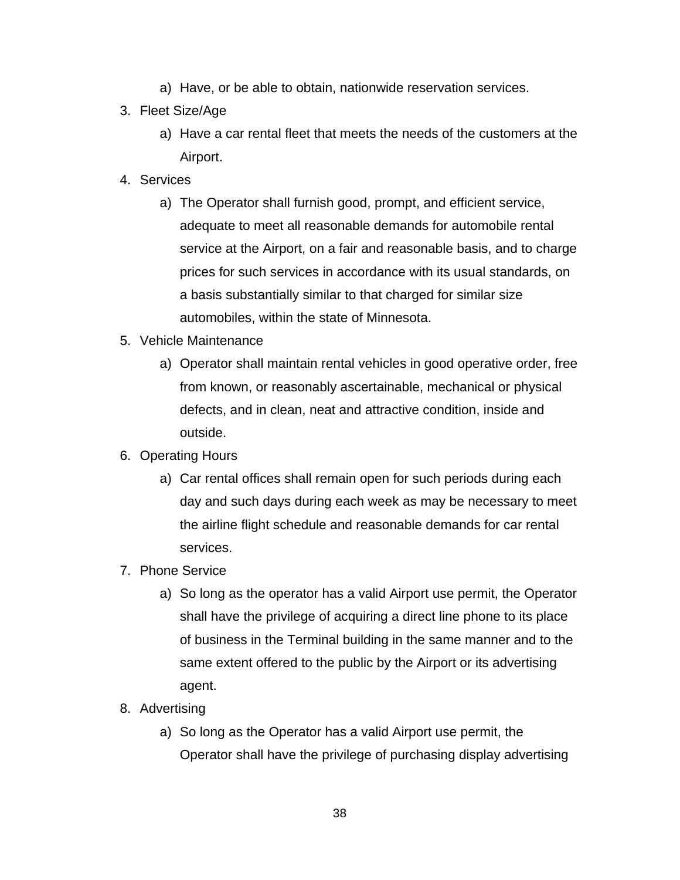- a) Have, or be able to obtain, nationwide reservation services.
- 3. Fleet Size/Age
	- a) Have a car rental fleet that meets the needs of the customers at the Airport.
- 4. Services
	- a) The Operator shall furnish good, prompt, and efficient service, adequate to meet all reasonable demands for automobile rental service at the Airport, on a fair and reasonable basis, and to charge prices for such services in accordance with its usual standards, on a basis substantially similar to that charged for similar size automobiles, within the state of Minnesota.
- 5. Vehicle Maintenance
	- a) Operator shall maintain rental vehicles in good operative order, free from known, or reasonably ascertainable, mechanical or physical defects, and in clean, neat and attractive condition, inside and outside.
- 6. Operating Hours
	- a) Car rental offices shall remain open for such periods during each day and such days during each week as may be necessary to meet the airline flight schedule and reasonable demands for car rental services.
- 7. Phone Service
	- a) So long as the operator has a valid Airport use permit, the Operator shall have the privilege of acquiring a direct line phone to its place of business in the Terminal building in the same manner and to the same extent offered to the public by the Airport or its advertising agent.
- 8. Advertising
	- a) So long as the Operator has a valid Airport use permit, the Operator shall have the privilege of purchasing display advertising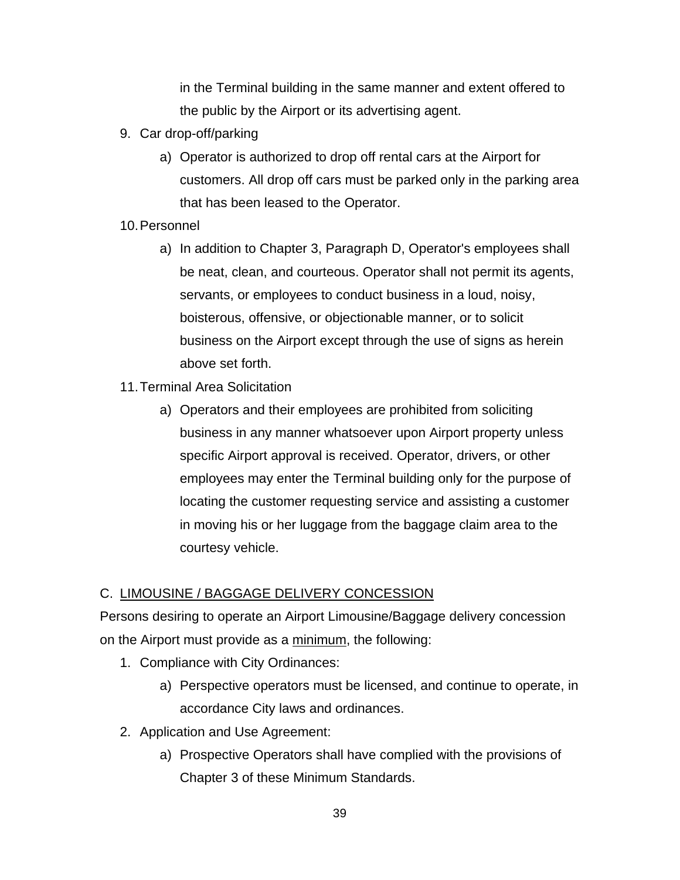in the Terminal building in the same manner and extent offered to the public by the Airport or its advertising agent.

- 9. Car drop-off/parking
	- a) Operator is authorized to drop off rental cars at the Airport for customers. All drop off cars must be parked only in the parking area that has been leased to the Operator.
- 10. Personnel
	- a) In addition to Chapter 3, Paragraph D, Operator's employees shall be neat, clean, and courteous. Operator shall not permit its agents, servants, or employees to conduct business in a loud, noisy, boisterous, offensive, or objectionable manner, or to solicit business on the Airport except through the use of signs as herein above set forth.
- 11. Terminal Area Solicitation
	- a) Operators and their employees are prohibited from soliciting business in any manner whatsoever upon Airport property unless specific Airport approval is received. Operator, drivers, or other employees may enter the Terminal building only for the purpose of locating the customer requesting service and assisting a customer in moving his or her luggage from the baggage claim area to the courtesy vehicle.

## C. LIMOUSINE / BAGGAGE DELIVERY CONCESSION

Persons desiring to operate an Airport Limousine/Baggage delivery concession on the Airport must provide as a minimum, the following:

- 1. Compliance with City Ordinances:
	- a) Perspective operators must be licensed, and continue to operate, in accordance City laws and ordinances.
- 2. Application and Use Agreement:
	- a) Prospective Operators shall have complied with the provisions of Chapter 3 of these Minimum Standards.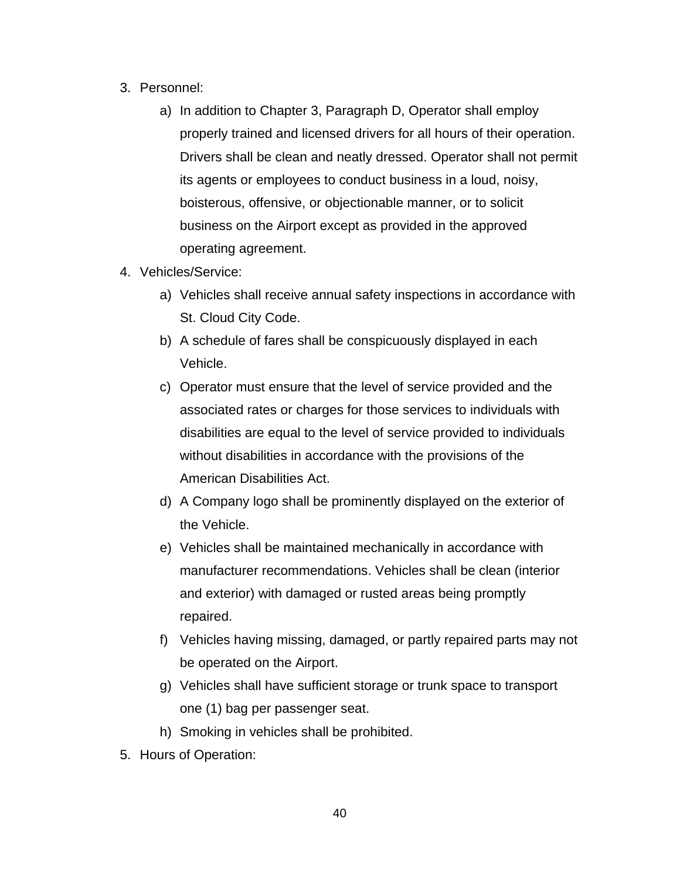- 3. Personnel:
	- a) In addition to Chapter 3, Paragraph D, Operator shall employ properly trained and licensed drivers for all hours of their operation. Drivers shall be clean and neatly dressed. Operator shall not permit its agents or employees to conduct business in a loud, noisy, boisterous, offensive, or objectionable manner, or to solicit business on the Airport except as provided in the approved operating agreement.
- 4. Vehicles/Service:
	- a) Vehicles shall receive annual safety inspections in accordance with St. Cloud City Code.
	- b) A schedule of fares shall be conspicuously displayed in each Vehicle.
	- c) Operator must ensure that the level of service provided and the associated rates or charges for those services to individuals with disabilities are equal to the level of service provided to individuals without disabilities in accordance with the provisions of the American Disabilities Act.
	- d) A Company logo shall be prominently displayed on the exterior of the Vehicle.
	- e) Vehicles shall be maintained mechanically in accordance with manufacturer recommendations. Vehicles shall be clean (interior and exterior) with damaged or rusted areas being promptly repaired.
	- f) Vehicles having missing, damaged, or partly repaired parts may not be operated on the Airport.
	- g) Vehicles shall have sufficient storage or trunk space to transport one (1) bag per passenger seat.
	- h) Smoking in vehicles shall be prohibited.
- 5. Hours of Operation: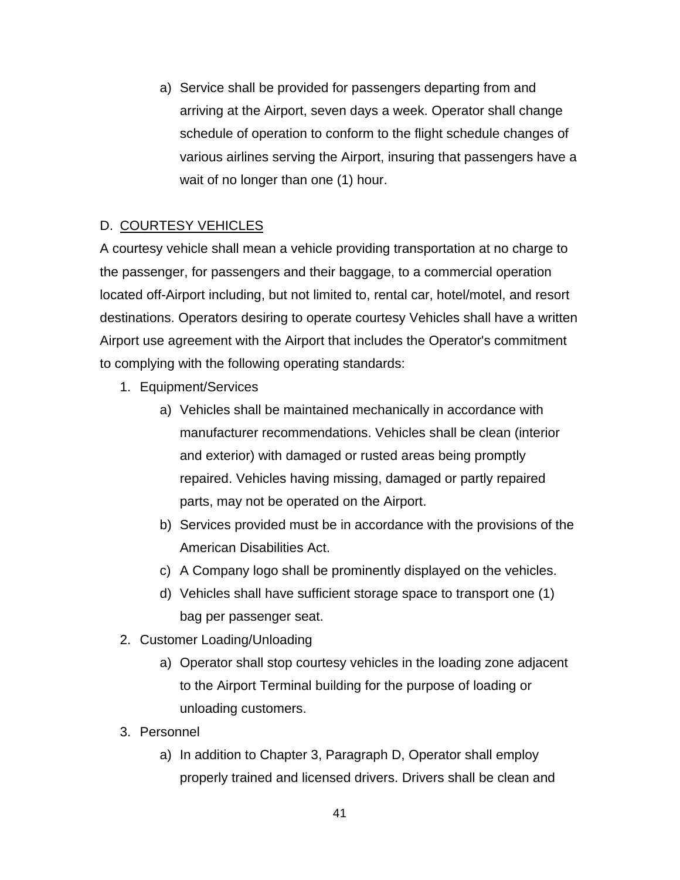a) Service shall be provided for passengers departing from and arriving at the Airport, seven days a week. Operator shall change schedule of operation to conform to the flight schedule changes of various airlines serving the Airport, insuring that passengers have a wait of no longer than one (1) hour.

# D. COURTESY VEHICLES

A courtesy vehicle shall mean a vehicle providing transportation at no charge to the passenger, for passengers and their baggage, to a commercial operation located off-Airport including, but not limited to, rental car, hotel/motel, and resort destinations. Operators desiring to operate courtesy Vehicles shall have a written Airport use agreement with the Airport that includes the Operator's commitment to complying with the following operating standards:

- 1. Equipment/Services
	- a) Vehicles shall be maintained mechanically in accordance with manufacturer recommendations. Vehicles shall be clean (interior and exterior) with damaged or rusted areas being promptly repaired. Vehicles having missing, damaged or partly repaired parts, may not be operated on the Airport.
	- b) Services provided must be in accordance with the provisions of the American Disabilities Act.
	- c) A Company logo shall be prominently displayed on the vehicles.
	- d) Vehicles shall have sufficient storage space to transport one (1) bag per passenger seat.
- 2. Customer Loading/Unloading
	- a) Operator shall stop courtesy vehicles in the loading zone adjacent to the Airport Terminal building for the purpose of loading or unloading customers.
- 3. Personnel
	- a) In addition to Chapter 3, Paragraph D, Operator shall employ properly trained and licensed drivers. Drivers shall be clean and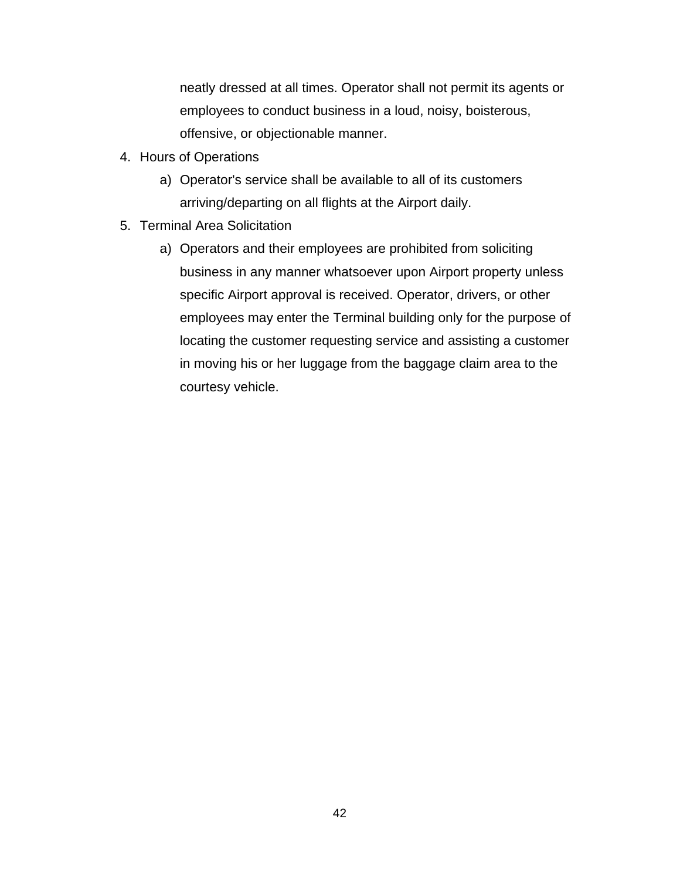neatly dressed at all times. Operator shall not permit its agents or employees to conduct business in a loud, noisy, boisterous, offensive, or objectionable manner.

- 4. Hours of Operations
	- a) Operator's service shall be available to all of its customers arriving/departing on all flights at the Airport daily.
- 5. Terminal Area Solicitation
	- a) Operators and their employees are prohibited from soliciting business in any manner whatsoever upon Airport property unless specific Airport approval is received. Operator, drivers, or other employees may enter the Terminal building only for the purpose of locating the customer requesting service and assisting a customer in moving his or her luggage from the baggage claim area to the courtesy vehicle.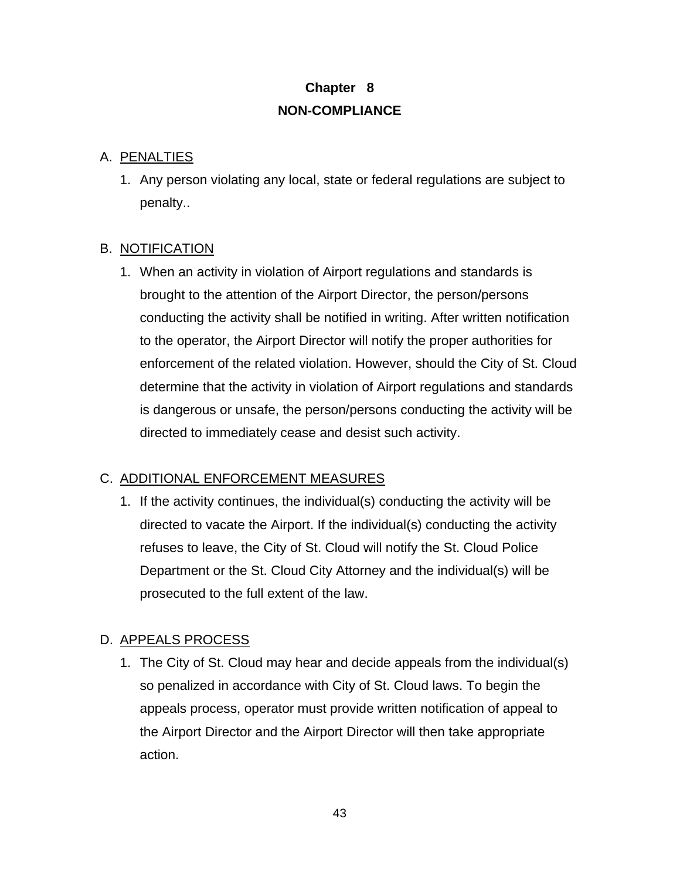# **Chapter 8 NON-COMPLIANCE**

#### A. PENALTIES

1. Any person violating any local, state or federal regulations are subject to penalty..

## B. NOTIFICATION

1. When an activity in violation of Airport regulations and standards is brought to the attention of the Airport Director, the person/persons conducting the activity shall be notified in writing. After written notification to the operator, the Airport Director will notify the proper authorities for enforcement of the related violation. However, should the City of St. Cloud determine that the activity in violation of Airport regulations and standards is dangerous or unsafe, the person/persons conducting the activity will be directed to immediately cease and desist such activity.

## C. ADDITIONAL ENFORCEMENT MEASURES

1. If the activity continues, the individual(s) conducting the activity will be directed to vacate the Airport. If the individual(s) conducting the activity refuses to leave, the City of St. Cloud will notify the St. Cloud Police Department or the St. Cloud City Attorney and the individual(s) will be prosecuted to the full extent of the law.

## D. APPEALS PROCESS

1. The City of St. Cloud may hear and decide appeals from the individual(s) so penalized in accordance with City of St. Cloud laws. To begin the appeals process, operator must provide written notification of appeal to the Airport Director and the Airport Director will then take appropriate action.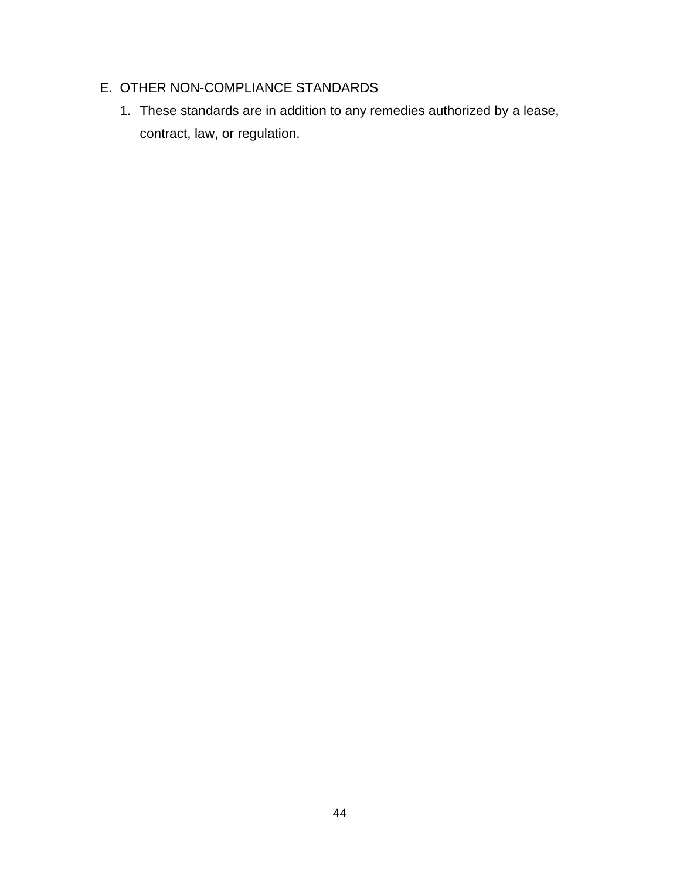# E. OTHER NON-COMPLIANCE STANDARDS

1. These standards are in addition to any remedies authorized by a lease, contract, law, or regulation.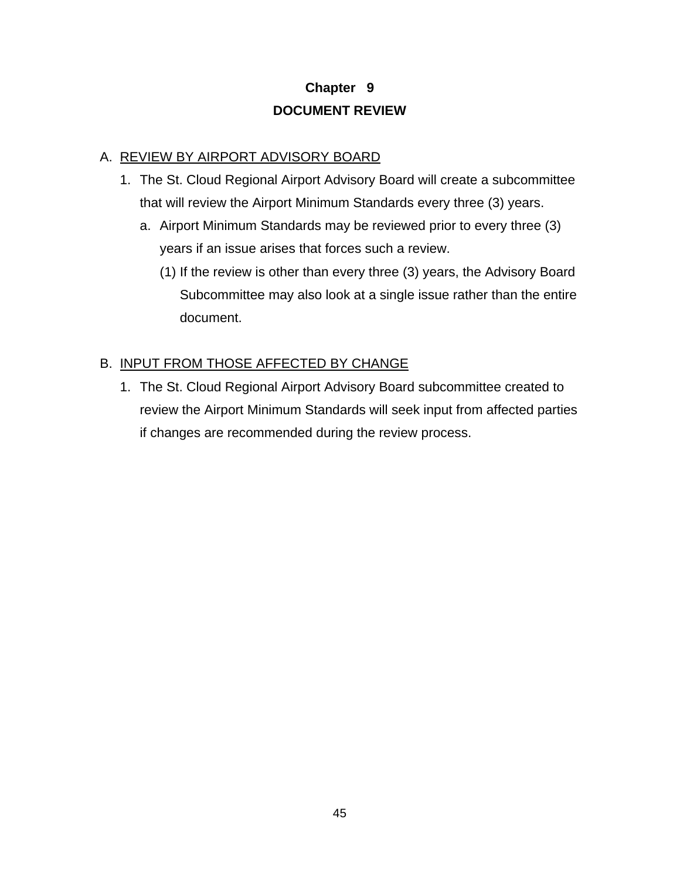# **Chapter 9 DOCUMENT REVIEW**

## A. REVIEW BY AIRPORT ADVISORY BOARD

- 1. The St. Cloud Regional Airport Advisory Board will create a subcommittee that will review the Airport Minimum Standards every three (3) years.
	- a. Airport Minimum Standards may be reviewed prior to every three (3) years if an issue arises that forces such a review.
		- (1) If the review is other than every three (3) years, the Advisory Board Subcommittee may also look at a single issue rather than the entire document.

## B. INPUT FROM THOSE AFFECTED BY CHANGE

1. The St. Cloud Regional Airport Advisory Board subcommittee created to review the Airport Minimum Standards will seek input from affected parties if changes are recommended during the review process.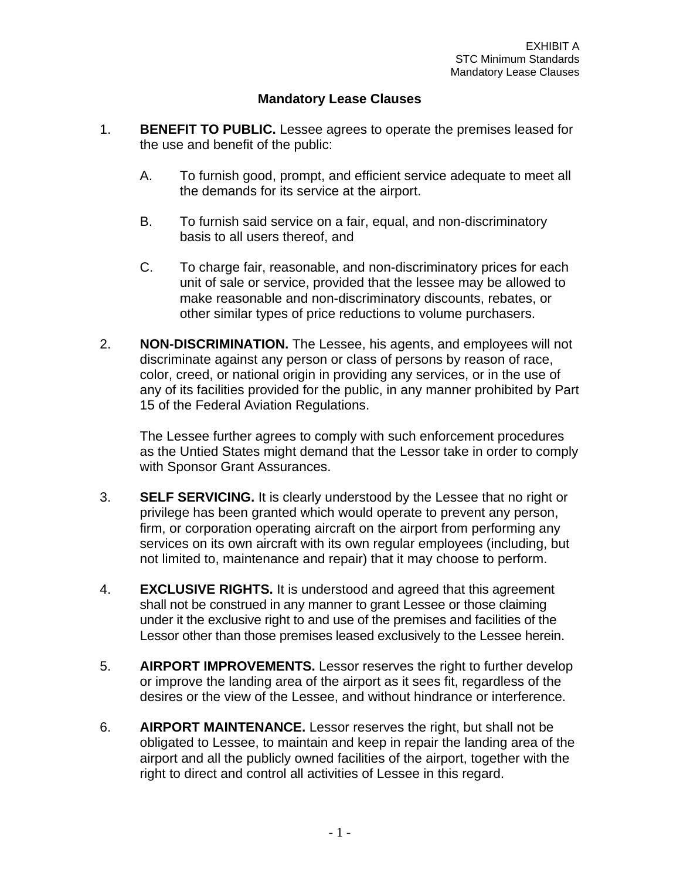#### **Mandatory Lease Clauses**

- 1. **BENEFIT TO PUBLIC.** Lessee agrees to operate the premises leased for the use and benefit of the public:
	- A. To furnish good, prompt, and efficient service adequate to meet all the demands for its service at the airport.
	- B. To furnish said service on a fair, equal, and non-discriminatory basis to all users thereof, and
	- C. To charge fair, reasonable, and non-discriminatory prices for each unit of sale or service, provided that the lessee may be allowed to make reasonable and non-discriminatory discounts, rebates, or other similar types of price reductions to volume purchasers.
- 2. **NON-DISCRIMINATION.** The Lessee, his agents, and employees will not discriminate against any person or class of persons by reason of race, color, creed, or national origin in providing any services, or in the use of any of its facilities provided for the public, in any manner prohibited by Part 15 of the Federal Aviation Regulations.

The Lessee further agrees to comply with such enforcement procedures as the Untied States might demand that the Lessor take in order to comply with Sponsor Grant Assurances.

- 3. **SELF SERVICING.** It is clearly understood by the Lessee that no right or privilege has been granted which would operate to prevent any person, firm, or corporation operating aircraft on the airport from performing any services on its own aircraft with its own regular employees (including, but not limited to, maintenance and repair) that it may choose to perform.
- 4. **EXCLUSIVE RIGHTS.** It is understood and agreed that this agreement shall not be construed in any manner to grant Lessee or those claiming under it the exclusive right to and use of the premises and facilities of the Lessor other than those premises leased exclusively to the Lessee herein.
- 5. **AIRPORT IMPROVEMENTS.** Lessor reserves the right to further develop or improve the landing area of the airport as it sees fit, regardless of the desires or the view of the Lessee, and without hindrance or interference.
- 6. **AIRPORT MAINTENANCE.** Lessor reserves the right, but shall not be obligated to Lessee, to maintain and keep in repair the landing area of the airport and all the publicly owned facilities of the airport, together with the right to direct and control all activities of Lessee in this regard.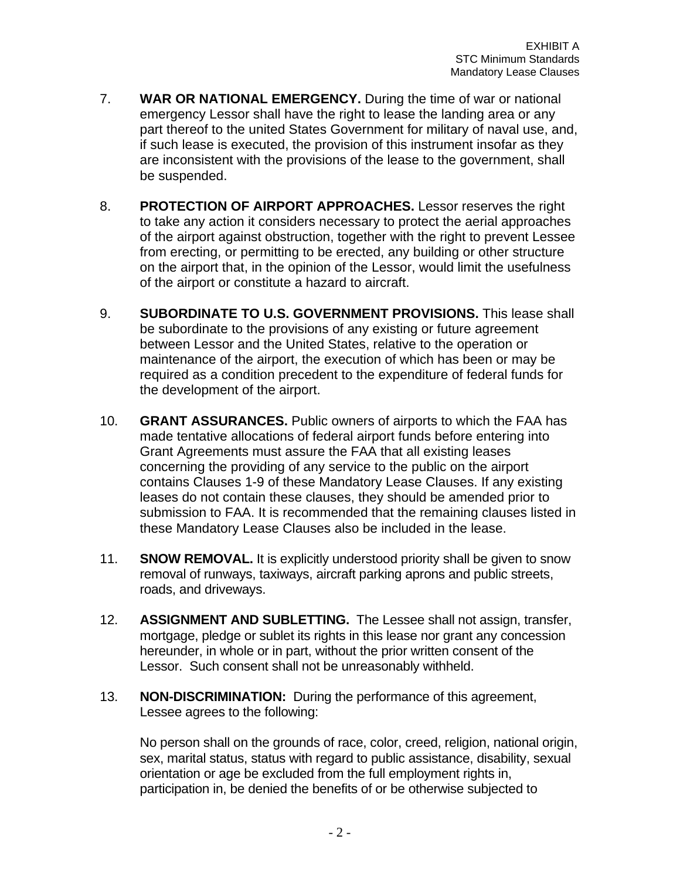- 7. **WAR OR NATIONAL EMERGENCY.** During the time of war or national emergency Lessor shall have the right to lease the landing area or any part thereof to the united States Government for military of naval use, and, if such lease is executed, the provision of this instrument insofar as they are inconsistent with the provisions of the lease to the government, shall be suspended.
- 8. **PROTECTION OF AIRPORT APPROACHES.** Lessor reserves the right to take any action it considers necessary to protect the aerial approaches of the airport against obstruction, together with the right to prevent Lessee from erecting, or permitting to be erected, any building or other structure on the airport that, in the opinion of the Lessor, would limit the usefulness of the airport or constitute a hazard to aircraft.
- 9. **SUBORDINATE TO U.S. GOVERNMENT PROVISIONS.** This lease shall be subordinate to the provisions of any existing or future agreement between Lessor and the United States, relative to the operation or maintenance of the airport, the execution of which has been or may be required as a condition precedent to the expenditure of federal funds for the development of the airport.
- 10. **GRANT ASSURANCES.** Public owners of airports to which the FAA has made tentative allocations of federal airport funds before entering into Grant Agreements must assure the FAA that all existing leases concerning the providing of any service to the public on the airport contains Clauses 1-9 of these Mandatory Lease Clauses. If any existing leases do not contain these clauses, they should be amended prior to submission to FAA. It is recommended that the remaining clauses listed in these Mandatory Lease Clauses also be included in the lease.
- 11. **SNOW REMOVAL.** It is explicitly understood priority shall be given to snow removal of runways, taxiways, aircraft parking aprons and public streets, roads, and driveways.
- 12. **ASSIGNMENT AND SUBLETTING.** The Lessee shall not assign, transfer, mortgage, pledge or sublet its rights in this lease nor grant any concession hereunder, in whole or in part, without the prior written consent of the Lessor. Such consent shall not be unreasonably withheld.
- 13. **NON-DISCRIMINATION:** During the performance of this agreement, Lessee agrees to the following:

No person shall on the grounds of race, color, creed, religion, national origin, sex, marital status, status with regard to public assistance, disability, sexual orientation or age be excluded from the full employment rights in, participation in, be denied the benefits of or be otherwise subjected to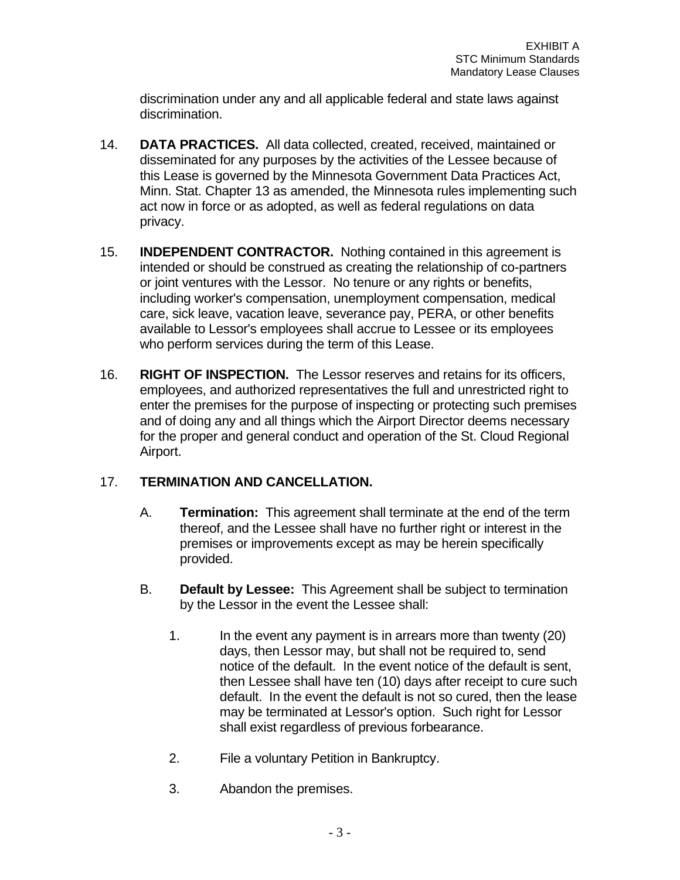discrimination under any and all applicable federal and state laws against discrimination.

- 14. **DATA PRACTICES.** All data collected, created, received, maintained or disseminated for any purposes by the activities of the Lessee because of this Lease is governed by the Minnesota Government Data Practices Act, Minn. Stat. Chapter 13 as amended, the Minnesota rules implementing such act now in force or as adopted, as well as federal regulations on data privacy.
- 15. **INDEPENDENT CONTRACTOR.** Nothing contained in this agreement is intended or should be construed as creating the relationship of co-partners or joint ventures with the Lessor. No tenure or any rights or benefits, including worker's compensation, unemployment compensation, medical care, sick leave, vacation leave, severance pay, PERA, or other benefits available to Lessor's employees shall accrue to Lessee or its employees who perform services during the term of this Lease.
- 16. **RIGHT OF INSPECTION.** The Lessor reserves and retains for its officers, employees, and authorized representatives the full and unrestricted right to enter the premises for the purpose of inspecting or protecting such premises and of doing any and all things which the Airport Director deems necessary for the proper and general conduct and operation of the St. Cloud Regional Airport.

# 17. **TERMINATION AND CANCELLATION.**

- A. **Termination:** This agreement shall terminate at the end of the term thereof, and the Lessee shall have no further right or interest in the premises or improvements except as may be herein specifically provided.
- B. **Default by Lessee:** This Agreement shall be subject to termination by the Lessor in the event the Lessee shall:
	- 1. In the event any payment is in arrears more than twenty (20) days, then Lessor may, but shall not be required to, send notice of the default. In the event notice of the default is sent, then Lessee shall have ten (10) days after receipt to cure such default. In the event the default is not so cured, then the lease may be terminated at Lessor's option. Such right for Lessor shall exist regardless of previous forbearance.
	- 2. File a voluntary Petition in Bankruptcy.
	- 3. Abandon the premises.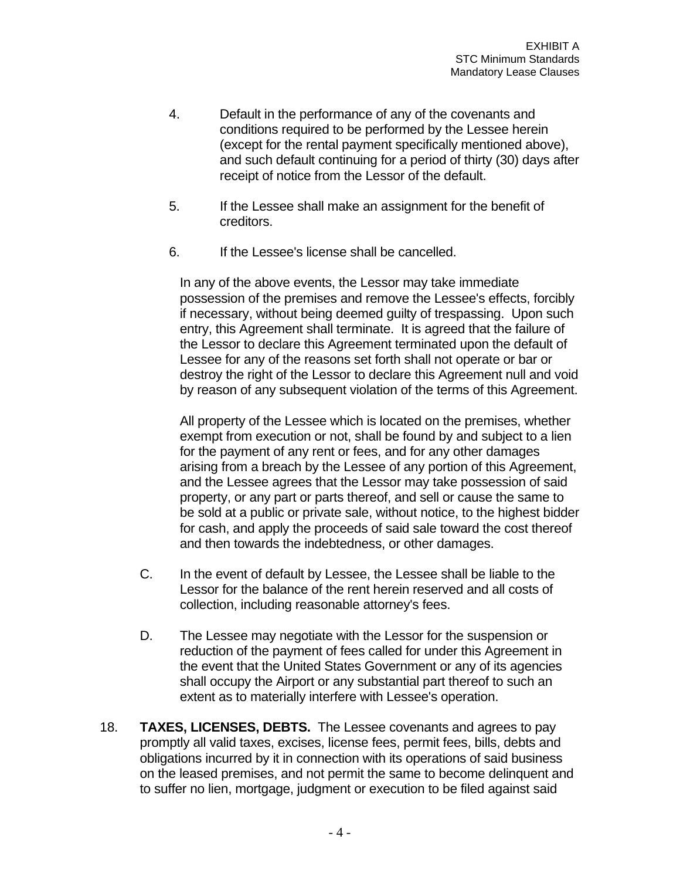- 4. Default in the performance of any of the covenants and conditions required to be performed by the Lessee herein (except for the rental payment specifically mentioned above), and such default continuing for a period of thirty (30) days after receipt of notice from the Lessor of the default.
- 5. If the Lessee shall make an assignment for the benefit of creditors.
- 6. If the Lessee's license shall be cancelled.

In any of the above events, the Lessor may take immediate possession of the premises and remove the Lessee's effects, forcibly if necessary, without being deemed guilty of trespassing. Upon such entry, this Agreement shall terminate. It is agreed that the failure of the Lessor to declare this Agreement terminated upon the default of Lessee for any of the reasons set forth shall not operate or bar or destroy the right of the Lessor to declare this Agreement null and void by reason of any subsequent violation of the terms of this Agreement.

All property of the Lessee which is located on the premises, whether exempt from execution or not, shall be found by and subject to a lien for the payment of any rent or fees, and for any other damages arising from a breach by the Lessee of any portion of this Agreement, and the Lessee agrees that the Lessor may take possession of said property, or any part or parts thereof, and sell or cause the same to be sold at a public or private sale, without notice, to the highest bidder for cash, and apply the proceeds of said sale toward the cost thereof and then towards the indebtedness, or other damages.

- C. In the event of default by Lessee, the Lessee shall be liable to the Lessor for the balance of the rent herein reserved and all costs of collection, including reasonable attorney's fees.
- D. The Lessee may negotiate with the Lessor for the suspension or reduction of the payment of fees called for under this Agreement in the event that the United States Government or any of its agencies shall occupy the Airport or any substantial part thereof to such an extent as to materially interfere with Lessee's operation.
- 18. **TAXES, LICENSES, DEBTS.** The Lessee covenants and agrees to pay promptly all valid taxes, excises, license fees, permit fees, bills, debts and obligations incurred by it in connection with its operations of said business on the leased premises, and not permit the same to become delinquent and to suffer no lien, mortgage, judgment or execution to be filed against said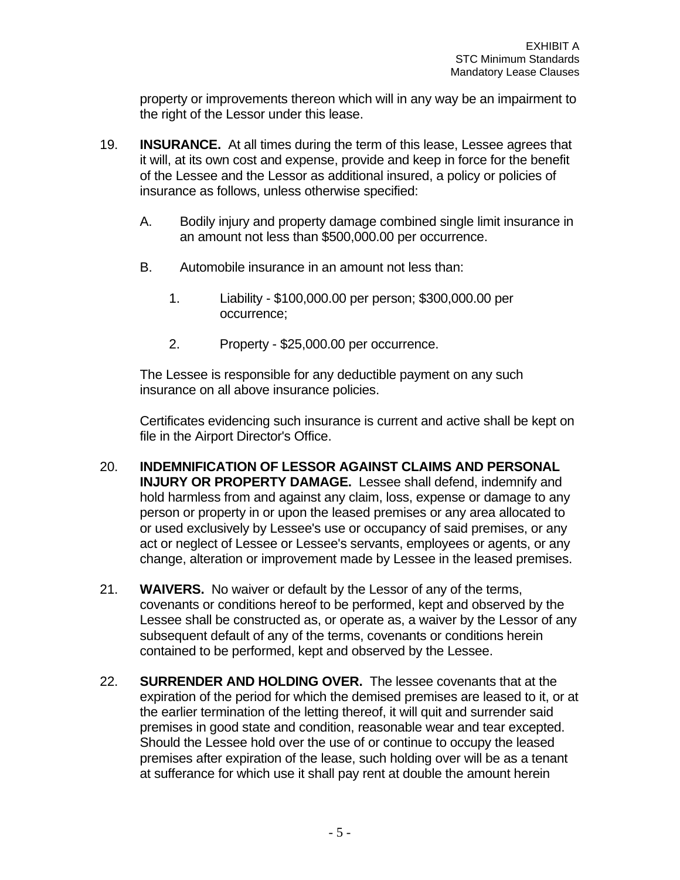property or improvements thereon which will in any way be an impairment to the right of the Lessor under this lease.

- 19. **INSURANCE.** At all times during the term of this lease, Lessee agrees that it will, at its own cost and expense, provide and keep in force for the benefit of the Lessee and the Lessor as additional insured, a policy or policies of insurance as follows, unless otherwise specified:
	- A. Bodily injury and property damage combined single limit insurance in an amount not less than \$500,000.00 per occurrence.
	- B. Automobile insurance in an amount not less than:
		- 1. Liability \$100,000.00 per person; \$300,000.00 per occurrence;
		- 2. Property \$25,000.00 per occurrence.

The Lessee is responsible for any deductible payment on any such insurance on all above insurance policies.

Certificates evidencing such insurance is current and active shall be kept on file in the Airport Director's Office.

- 20. **INDEMNIFICATION OF LESSOR AGAINST CLAIMS AND PERSONAL INJURY OR PROPERTY DAMAGE.** Lessee shall defend, indemnify and hold harmless from and against any claim, loss, expense or damage to any person or property in or upon the leased premises or any area allocated to or used exclusively by Lessee's use or occupancy of said premises, or any act or neglect of Lessee or Lessee's servants, employees or agents, or any change, alteration or improvement made by Lessee in the leased premises.
- 21. **WAIVERS.** No waiver or default by the Lessor of any of the terms, covenants or conditions hereof to be performed, kept and observed by the Lessee shall be constructed as, or operate as, a waiver by the Lessor of any subsequent default of any of the terms, covenants or conditions herein contained to be performed, kept and observed by the Lessee.
- 22. **SURRENDER AND HOLDING OVER.** The lessee covenants that at the expiration of the period for which the demised premises are leased to it, or at the earlier termination of the letting thereof, it will quit and surrender said premises in good state and condition, reasonable wear and tear excepted. Should the Lessee hold over the use of or continue to occupy the leased premises after expiration of the lease, such holding over will be as a tenant at sufferance for which use it shall pay rent at double the amount herein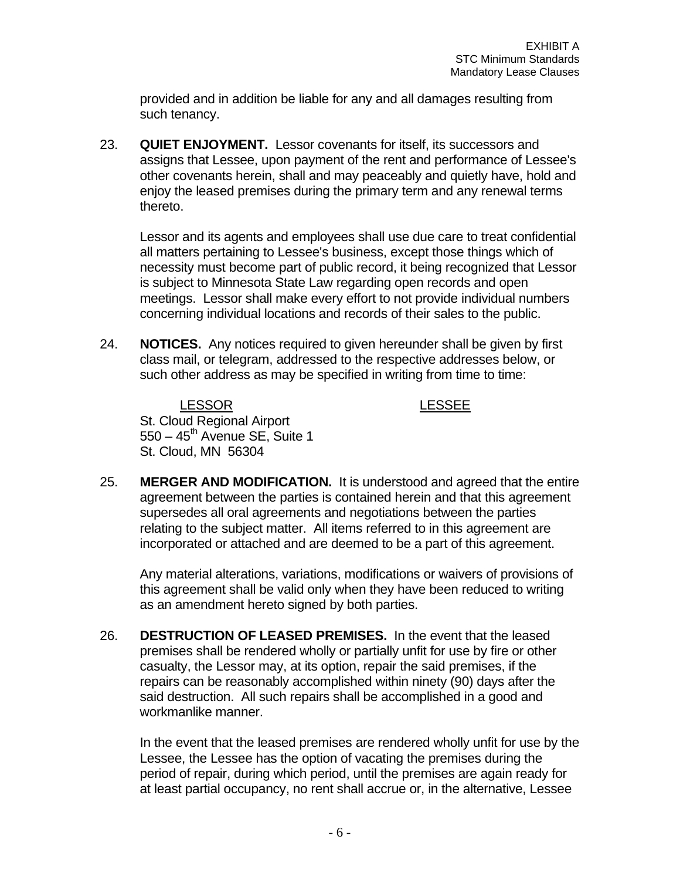provided and in addition be liable for any and all damages resulting from such tenancy.

23. **QUIET ENJOYMENT.** Lessor covenants for itself, its successors and assigns that Lessee, upon payment of the rent and performance of Lessee's other covenants herein, shall and may peaceably and quietly have, hold and enjoy the leased premises during the primary term and any renewal terms thereto.

Lessor and its agents and employees shall use due care to treat confidential all matters pertaining to Lessee's business, except those things which of necessity must become part of public record, it being recognized that Lessor is subject to Minnesota State Law regarding open records and open meetings. Lessor shall make every effort to not provide individual numbers concerning individual locations and records of their sales to the public.

24. **NOTICES.** Any notices required to given hereunder shall be given by first class mail, or telegram, addressed to the respective addresses below, or such other address as may be specified in writing from time to time:

LESSOR LESSEE St. Cloud Regional Airport  $550 - 45$ <sup>th</sup> Avenue SE, Suite 1 St. Cloud, MN 56304

25. **MERGER AND MODIFICATION.** It is understood and agreed that the entire agreement between the parties is contained herein and that this agreement supersedes all oral agreements and negotiations between the parties relating to the subject matter. All items referred to in this agreement are incorporated or attached and are deemed to be a part of this agreement.

Any material alterations, variations, modifications or waivers of provisions of this agreement shall be valid only when they have been reduced to writing as an amendment hereto signed by both parties.

26. **DESTRUCTION OF LEASED PREMISES.** In the event that the leased premises shall be rendered wholly or partially unfit for use by fire or other casualty, the Lessor may, at its option, repair the said premises, if the repairs can be reasonably accomplished within ninety (90) days after the said destruction. All such repairs shall be accomplished in a good and workmanlike manner.

In the event that the leased premises are rendered wholly unfit for use by the Lessee, the Lessee has the option of vacating the premises during the period of repair, during which period, until the premises are again ready for at least partial occupancy, no rent shall accrue or, in the alternative, Lessee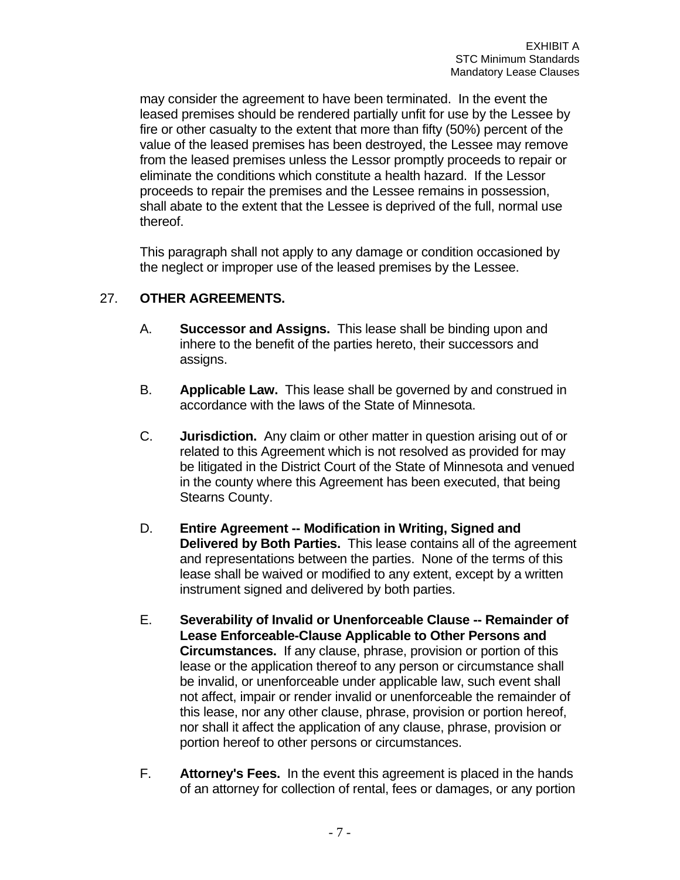may consider the agreement to have been terminated. In the event the leased premises should be rendered partially unfit for use by the Lessee by fire or other casualty to the extent that more than fifty (50%) percent of the value of the leased premises has been destroyed, the Lessee may remove from the leased premises unless the Lessor promptly proceeds to repair or eliminate the conditions which constitute a health hazard. If the Lessor proceeds to repair the premises and the Lessee remains in possession, shall abate to the extent that the Lessee is deprived of the full, normal use thereof.

This paragraph shall not apply to any damage or condition occasioned by the neglect or improper use of the leased premises by the Lessee.

## 27. **OTHER AGREEMENTS.**

- A. **Successor and Assigns.** This lease shall be binding upon and inhere to the benefit of the parties hereto, their successors and assigns.
- B. **Applicable Law.** This lease shall be governed by and construed in accordance with the laws of the State of Minnesota.
- C. **Jurisdiction.** Any claim or other matter in question arising out of or related to this Agreement which is not resolved as provided for may be litigated in the District Court of the State of Minnesota and venued in the county where this Agreement has been executed, that being Stearns County.
- D. **Entire Agreement -- Modification in Writing, Signed and Delivered by Both Parties.** This lease contains all of the agreement and representations between the parties. None of the terms of this lease shall be waived or modified to any extent, except by a written instrument signed and delivered by both parties.
- E. **Severability of Invalid or Unenforceable Clause -- Remainder of Lease Enforceable-Clause Applicable to Other Persons and Circumstances.** If any clause, phrase, provision or portion of this lease or the application thereof to any person or circumstance shall be invalid, or unenforceable under applicable law, such event shall not affect, impair or render invalid or unenforceable the remainder of this lease, nor any other clause, phrase, provision or portion hereof, nor shall it affect the application of any clause, phrase, provision or portion hereof to other persons or circumstances.
- F. **Attorney's Fees.** In the event this agreement is placed in the hands of an attorney for collection of rental, fees or damages, or any portion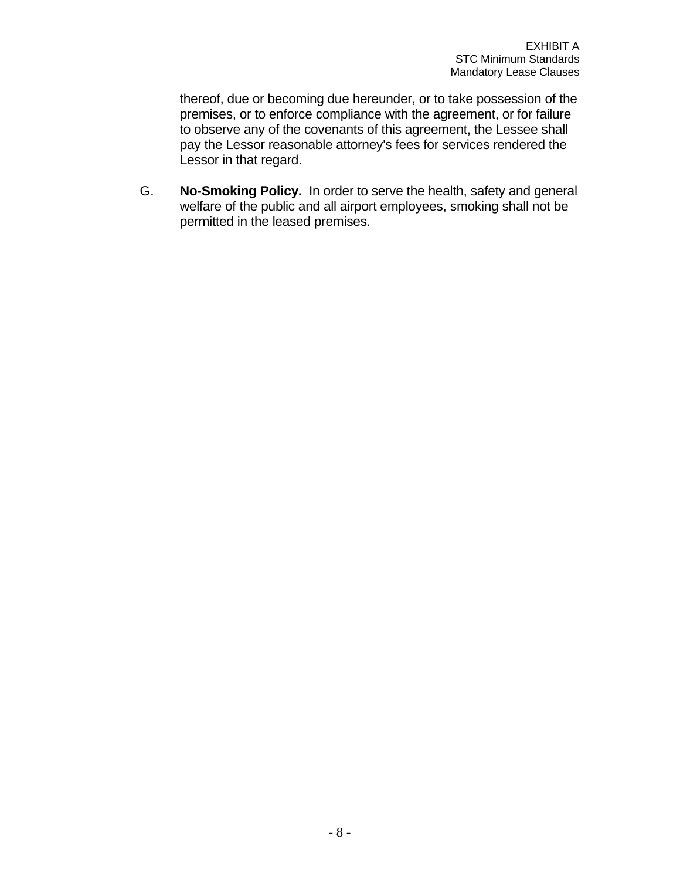thereof, due or becoming due hereunder, or to take possession of the premises, or to enforce compliance with the agreement, or for failure to observe any of the covenants of this agreement, the Lessee shall pay the Lessor reasonable attorney's fees for services rendered the Lessor in that regard.

G. **No-Smoking Policy.** In order to serve the health, safety and general welfare of the public and all airport employees, smoking shall not be permitted in the leased premises.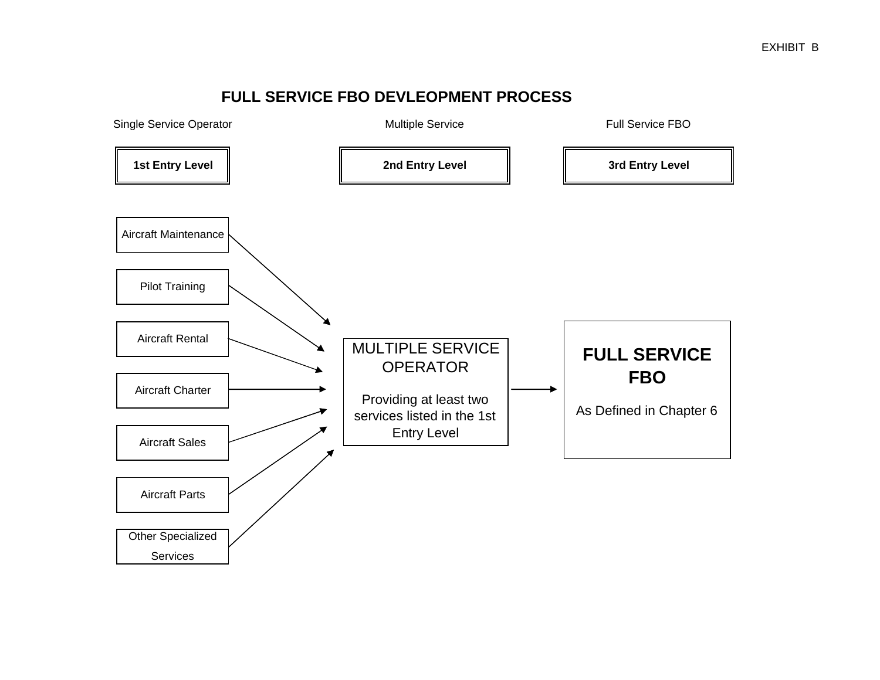# **FULL SERVICE FBO DEVLEOPMENT PROCESS**

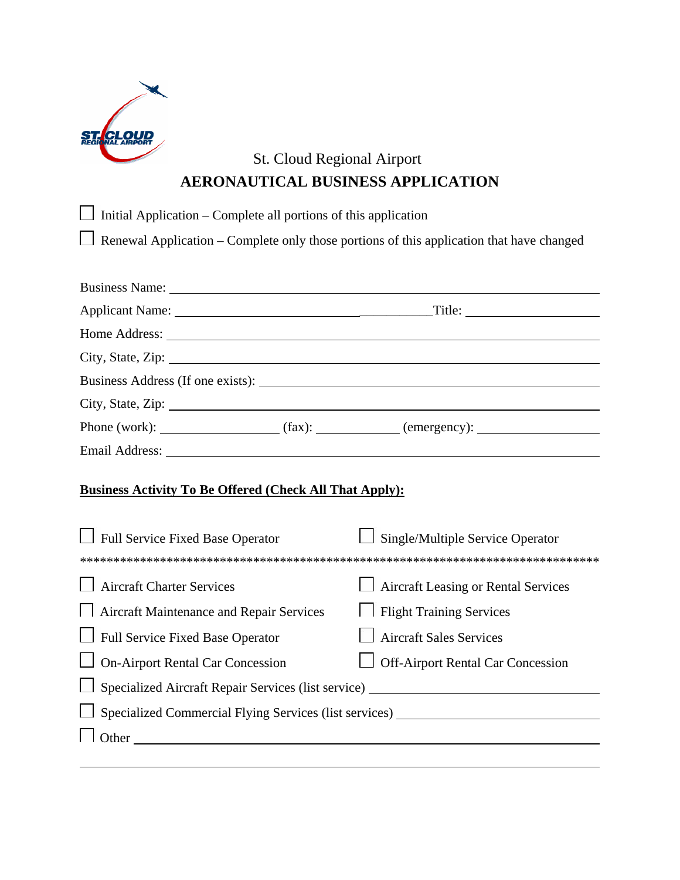

# St. Cloud Regional Airport **AERONAUTICAL BUSINESS APPLICATION**

| $\Box$ Initial Application – Complete all portions of this application |                                                                                                 |  |
|------------------------------------------------------------------------|-------------------------------------------------------------------------------------------------|--|
|                                                                        | $\Box$ Renewal Application – Complete only those portions of this application that have changed |  |
|                                                                        |                                                                                                 |  |
| Business Name:                                                         |                                                                                                 |  |
|                                                                        |                                                                                                 |  |
|                                                                        |                                                                                                 |  |
|                                                                        | City, State, Zip:                                                                               |  |
|                                                                        |                                                                                                 |  |
| City, State, Zip:                                                      |                                                                                                 |  |
|                                                                        | Phone (work): $\qquad (fax):$ (fax): $\qquad \qquad (energy):$                                  |  |
|                                                                        |                                                                                                 |  |
|                                                                        |                                                                                                 |  |

# **Business Activity To Be Offered (Check All That Apply):**

| <b>Full Service Fixed Base Operator</b>                           | Single/Multiple Service Operator           |  |  |  |  |
|-------------------------------------------------------------------|--------------------------------------------|--|--|--|--|
|                                                                   |                                            |  |  |  |  |
| <b>Aircraft Charter Services</b>                                  | $\Box$ Aircraft Leasing or Rental Services |  |  |  |  |
| Aircraft Maintenance and Repair Services                          | <b>Flight Training Services</b>            |  |  |  |  |
| Full Service Fixed Base Operator                                  | <b>Aircraft Sales Services</b>             |  |  |  |  |
| $\Box$ On-Airport Rental Car Concession                           | $\Box$ Off-Airport Rental Car Concession   |  |  |  |  |
| $\Box$ Specialized Aircraft Repair Services (list service) $\Box$ |                                            |  |  |  |  |
| $\Box$ Specialized Commercial Flying Services (list services)     |                                            |  |  |  |  |
| Other                                                             |                                            |  |  |  |  |
|                                                                   |                                            |  |  |  |  |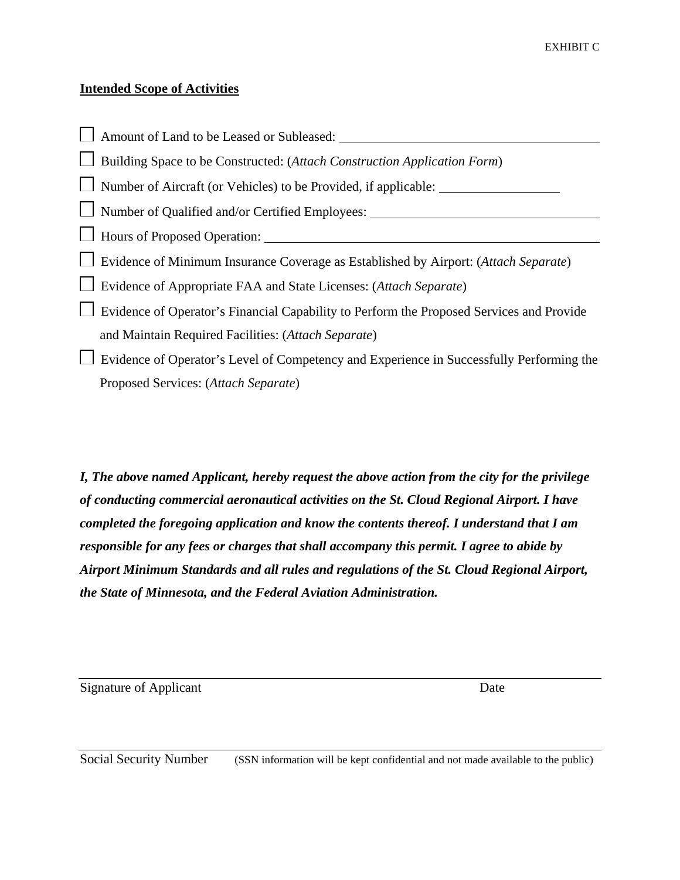#### **Intended Scope of Activities**

Amount of Land to be Leased or Subleased: Building Space to be Constructed: (*Attach Construction Application Form*) Number of Aircraft (or Vehicles) to be Provided, if applicable: Number of Qualified and/or Certified Employees: \_\_\_\_\_\_\_\_\_\_\_\_\_\_\_\_\_\_\_\_\_\_\_\_\_\_\_\_\_\_\_\_\_ Hours of Proposed Operation: Evidence of Minimum Insurance Coverage as Established by Airport: (*Attach Separate*) Evidence of Appropriate FAA and State Licenses: (*Attach Separate*) Evidence of Operator's Financial Capability to Perform the Proposed Services and Provide and Maintain Required Facilities: (*Attach Separate*) Evidence of Operator's Level of Competency and Experience in Successfully Performing the Proposed Services: (*Attach Separate*)

*I, The above named Applicant, hereby request the above action from the city for the privilege of conducting commercial aeronautical activities on the St. Cloud Regional Airport. I have completed the foregoing application and know the contents thereof. I understand that I am responsible for any fees or charges that shall accompany this permit. I agree to abide by Airport Minimum Standards and all rules and regulations of the St. Cloud Regional Airport, the State of Minnesota, and the Federal Aviation Administration.* 

Signature of Applicant Date

Social Security Number (SSN information will be kept confidential and not made available to the public)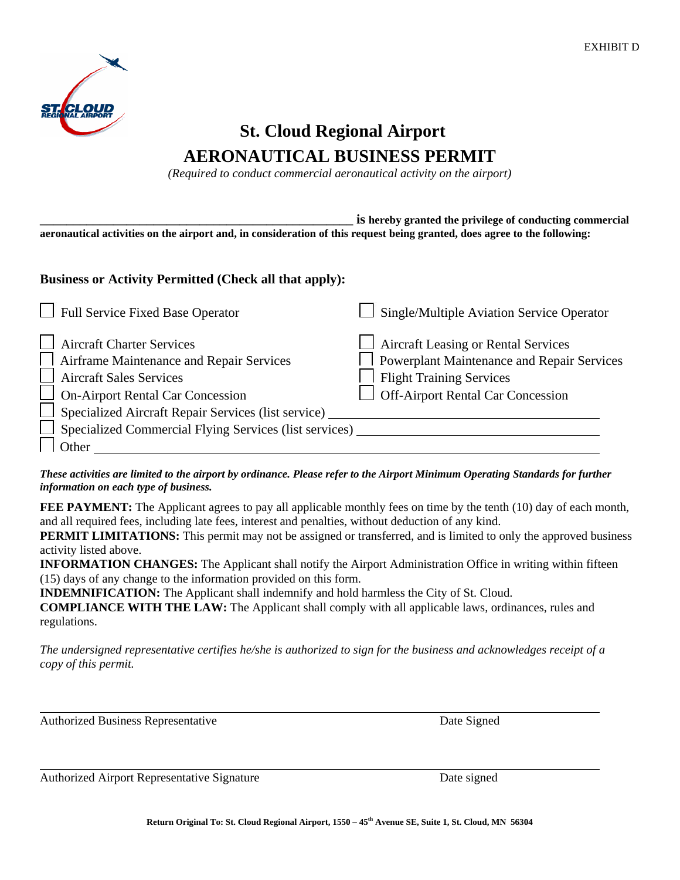

# **St. Cloud Regional Airport AERONAUTICAL BUSINESS PERMIT**

*(Required to conduct commercial aeronautical activity on the airport)*

**\_\_\_\_\_\_\_\_\_\_\_\_\_\_\_\_\_\_\_\_\_\_\_\_\_\_\_\_\_\_\_\_\_\_\_\_\_\_\_\_\_\_\_\_\_\_\_ is hereby granted the privilege of conducting commercial aeronautical activities on the airport and, in consideration of this request being granted, does agree to the following:**

#### **Business or Activity Permitted (Check all that apply):**

| Full Service Fixed Base Operator                                                                                                                                                                                                                                    | $\Box$ Single/Multiple Aviation Service Operator                                                                                                                               |
|---------------------------------------------------------------------------------------------------------------------------------------------------------------------------------------------------------------------------------------------------------------------|--------------------------------------------------------------------------------------------------------------------------------------------------------------------------------|
| Aircraft Charter Services<br>Airframe Maintenance and Repair Services<br>Aircraft Sales Services<br>On-Airport Rental Car Concession<br>Specialized Aircraft Repair Services (list service) _<br>Specialized Commercial Flying Services (list services) __<br>Other | $\Box$ Aircraft Leasing or Rental Services<br>$\Box$ Powerplant Maintenance and Repair Services<br><b>Flight Training Services</b><br><b>Off-Airport Rental Car Concession</b> |

*These activities are limited to the airport by ordinance. Please refer to the Airport Minimum Operating Standards for further information on each type of business.* 

**FEE PAYMENT:** The Applicant agrees to pay all applicable monthly fees on time by the tenth (10) day of each month, and all required fees, including late fees, interest and penalties, without deduction of any kind.

**PERMIT LIMITATIONS:** This permit may not be assigned or transferred, and is limited to only the approved business activity listed above.

**INFORMATION CHANGES:** The Applicant shall notify the Airport Administration Office in writing within fifteen (15) days of any change to the information provided on this form.

**INDEMNIFICATION:** The Applicant shall indemnify and hold harmless the City of St. Cloud.

**COMPLIANCE WITH THE LAW:** The Applicant shall comply with all applicable laws, ordinances, rules and regulations.

*The undersigned representative certifies he/she is authorized to sign for the business and acknowledges receipt of a copy of this permit.*

Authorized Business Representative Date Signed

l

l

Authorized Airport Representative Signature Date signed Date signed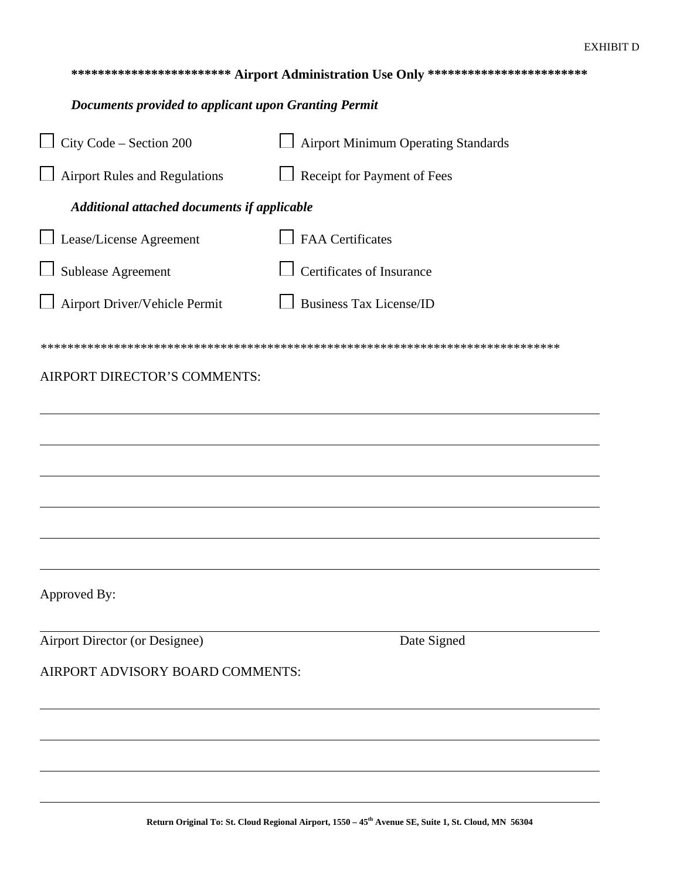## **\*\*\*\*\*\*\*\*\*\*\*\*\*\*\*\*\*\*\*\*\*\*\*\* Airport Administration Use Only \*\*\*\*\*\*\*\*\*\*\*\*\*\*\*\*\*\*\*\*\*\*\*\***

#### *Documents provided to applicant upon Granting Permit*

| $\Box$ City Code – Section 200              | <b>Airport Minimum Operating Standards</b> |  |  |  |  |
|---------------------------------------------|--------------------------------------------|--|--|--|--|
| $\Box$ Airport Rules and Regulations        | Receipt for Payment of Fees                |  |  |  |  |
| Additional attached documents if applicable |                                            |  |  |  |  |
| Lease/License Agreement                     | <b>FAA</b> Certificates                    |  |  |  |  |
| Sublease Agreement                          | Certificates of Insurance                  |  |  |  |  |
| Airport Driver/Vehicle Permit               | <b>Business Tax License/ID</b>             |  |  |  |  |
|                                             |                                            |  |  |  |  |
| AIRPORT DIRECTOR'S COMMENTS:                |                                            |  |  |  |  |
|                                             |                                            |  |  |  |  |
|                                             |                                            |  |  |  |  |
|                                             |                                            |  |  |  |  |
|                                             |                                            |  |  |  |  |
|                                             |                                            |  |  |  |  |
|                                             |                                            |  |  |  |  |
| Approved By:                                |                                            |  |  |  |  |
| Airport Director (or Designee)              | Date Signed                                |  |  |  |  |
| AIRPORT ADVISORY BOARD COMMENTS:            |                                            |  |  |  |  |
|                                             |                                            |  |  |  |  |
|                                             |                                            |  |  |  |  |
|                                             |                                            |  |  |  |  |